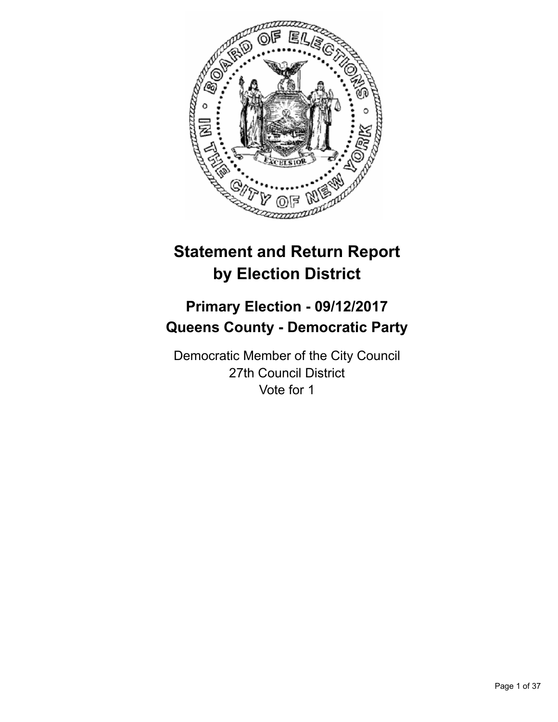

# **Statement and Return Report by Election District**

# **Primary Election - 09/12/2017 Queens County - Democratic Party**

Democratic Member of the City Council 27th Council District Vote for 1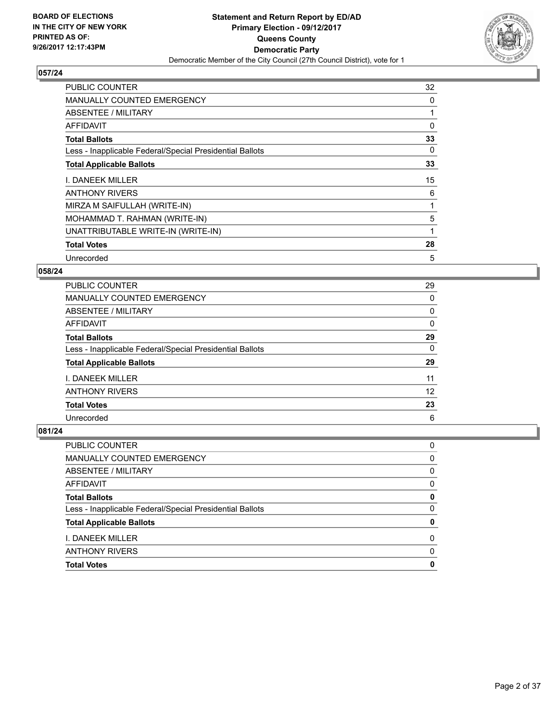

| <b>PUBLIC COUNTER</b>                                    | 32 |
|----------------------------------------------------------|----|
| <b>MANUALLY COUNTED EMERGENCY</b>                        | 0  |
| <b>ABSENTEE / MILITARY</b>                               |    |
| AFFIDAVIT                                                | 0  |
| <b>Total Ballots</b>                                     | 33 |
| Less - Inapplicable Federal/Special Presidential Ballots | 0  |
| <b>Total Applicable Ballots</b>                          | 33 |
| I. DANEEK MILLER                                         | 15 |
| <b>ANTHONY RIVERS</b>                                    | 6  |
| MIRZA M SAIFULLAH (WRITE-IN)                             |    |
| MOHAMMAD T. RAHMAN (WRITE-IN)                            | 5  |
| UNATTRIBUTABLE WRITE-IN (WRITE-IN)                       | 1  |
| <b>Total Votes</b>                                       | 28 |
| Unrecorded                                               | 5  |

## **058/24**

| <b>PUBLIC COUNTER</b>                                    | 29 |
|----------------------------------------------------------|----|
| <b>MANUALLY COUNTED EMERGENCY</b>                        | 0  |
| ABSENTEE / MILITARY                                      | 0  |
| AFFIDAVIT                                                | 0  |
| <b>Total Ballots</b>                                     | 29 |
| Less - Inapplicable Federal/Special Presidential Ballots | 0  |
| <b>Total Applicable Ballots</b>                          | 29 |
| <b>I. DANEEK MILLER</b>                                  | 11 |
| <b>ANTHONY RIVERS</b>                                    | 12 |
| <b>Total Votes</b>                                       | 23 |
| Unrecorded                                               | 6  |

|                                                          | 0 |
|----------------------------------------------------------|---|
| MANUALLY COUNTED EMERGENCY                               |   |
| <b>ABSENTEE / MILITARY</b>                               | 0 |
| <b>AFFIDAVIT</b>                                         | 0 |
| <b>Total Ballots</b>                                     | 0 |
| Less - Inapplicable Federal/Special Presidential Ballots | 0 |
| <b>Total Applicable Ballots</b>                          | 0 |
| I. DANEEK MILLER                                         | 0 |
| <b>ANTHONY RIVERS</b>                                    | 0 |
| <b>Total Votes</b>                                       | 0 |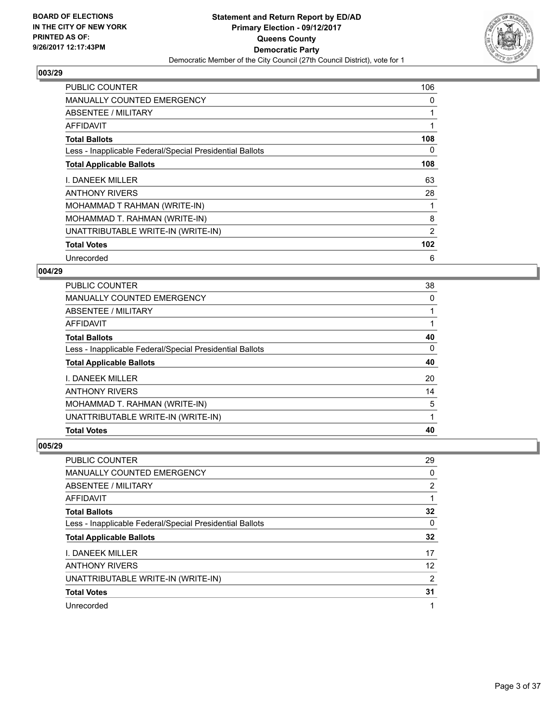

| <b>PUBLIC COUNTER</b>                                    | 106 |
|----------------------------------------------------------|-----|
| <b>MANUALLY COUNTED EMERGENCY</b>                        | 0   |
| <b>ABSENTEE / MILITARY</b>                               |     |
| AFFIDAVIT                                                |     |
| <b>Total Ballots</b>                                     | 108 |
| Less - Inapplicable Federal/Special Presidential Ballots | 0   |
| <b>Total Applicable Ballots</b>                          | 108 |
| I. DANEEK MILLER                                         | 63  |
| <b>ANTHONY RIVERS</b>                                    | 28  |
| MOHAMMAD T RAHMAN (WRITE-IN)                             |     |
| MOHAMMAD T. RAHMAN (WRITE-IN)                            | 8   |
| UNATTRIBUTABLE WRITE-IN (WRITE-IN)                       | 2   |
| <b>Total Votes</b>                                       | 102 |
| Unrecorded                                               | 6   |

## **004/29**

| PUBLIC COUNTER                                           | 38 |
|----------------------------------------------------------|----|
| <b>MANUALLY COUNTED EMERGENCY</b>                        | 0  |
| ABSENTEE / MILITARY                                      |    |
| AFFIDAVIT                                                |    |
| <b>Total Ballots</b>                                     | 40 |
| Less - Inapplicable Federal/Special Presidential Ballots | 0  |
| <b>Total Applicable Ballots</b>                          | 40 |
| I. DANEEK MILLER                                         | 20 |
| <b>ANTHONY RIVERS</b>                                    | 14 |
| MOHAMMAD T. RAHMAN (WRITE-IN)                            | 5  |
| UNATTRIBUTABLE WRITE-IN (WRITE-IN)                       |    |
| <b>Total Votes</b>                                       | 40 |

| PUBLIC COUNTER                                           | 29 |
|----------------------------------------------------------|----|
| MANUALLY COUNTED EMERGENCY                               | 0  |
| ABSENTEE / MILITARY                                      | 2  |
| AFFIDAVIT                                                |    |
| <b>Total Ballots</b>                                     | 32 |
| Less - Inapplicable Federal/Special Presidential Ballots | 0  |
| <b>Total Applicable Ballots</b>                          | 32 |
| <b>I. DANEEK MILLER</b>                                  | 17 |
| <b>ANTHONY RIVERS</b>                                    | 12 |
| UNATTRIBUTABLE WRITE-IN (WRITE-IN)                       | 2  |
| <b>Total Votes</b>                                       | 31 |
| Unrecorded                                               | 1  |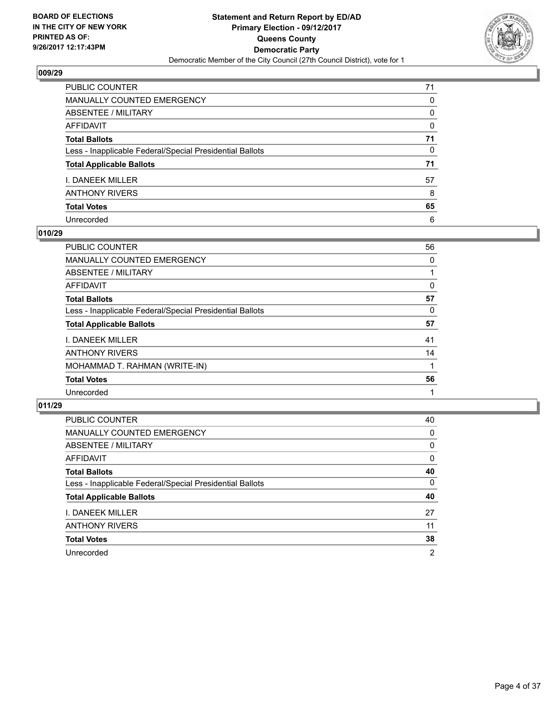

| PUBLIC COUNTER                                           | 71 |
|----------------------------------------------------------|----|
| <b>MANUALLY COUNTED EMERGENCY</b>                        | 0  |
| <b>ABSENTEE / MILITARY</b>                               | 0  |
| <b>AFFIDAVIT</b>                                         | 0  |
| <b>Total Ballots</b>                                     | 71 |
| Less - Inapplicable Federal/Special Presidential Ballots | 0  |
| <b>Total Applicable Ballots</b>                          | 71 |
| I. DANEEK MILLER                                         | 57 |
| <b>ANTHONY RIVERS</b>                                    | 8  |
| <b>Total Votes</b>                                       | 65 |
| Unrecorded                                               | 6  |

## **010/29**

| PUBLIC COUNTER                                           | 56 |
|----------------------------------------------------------|----|
| <b>MANUALLY COUNTED EMERGENCY</b>                        | 0  |
| ABSENTEE / MILITARY                                      |    |
| AFFIDAVIT                                                | 0  |
| <b>Total Ballots</b>                                     | 57 |
| Less - Inapplicable Federal/Special Presidential Ballots | 0  |
| <b>Total Applicable Ballots</b>                          | 57 |
| <b>I. DANEEK MILLER</b>                                  | 41 |
| <b>ANTHONY RIVERS</b>                                    | 14 |
| MOHAMMAD T. RAHMAN (WRITE-IN)                            |    |
| <b>Total Votes</b>                                       | 56 |
| Unrecorded                                               |    |

| <b>PUBLIC COUNTER</b>                                    | 40             |
|----------------------------------------------------------|----------------|
| <b>MANUALLY COUNTED EMERGENCY</b>                        | 0              |
| ABSENTEE / MILITARY                                      | 0              |
| <b>AFFIDAVIT</b>                                         | 0              |
| <b>Total Ballots</b>                                     | 40             |
| Less - Inapplicable Federal/Special Presidential Ballots | 0              |
| <b>Total Applicable Ballots</b>                          | 40             |
| I. DANEEK MILLER                                         | 27             |
| <b>ANTHONY RIVERS</b>                                    | 11             |
| <b>Total Votes</b>                                       | 38             |
| Unrecorded                                               | $\overline{2}$ |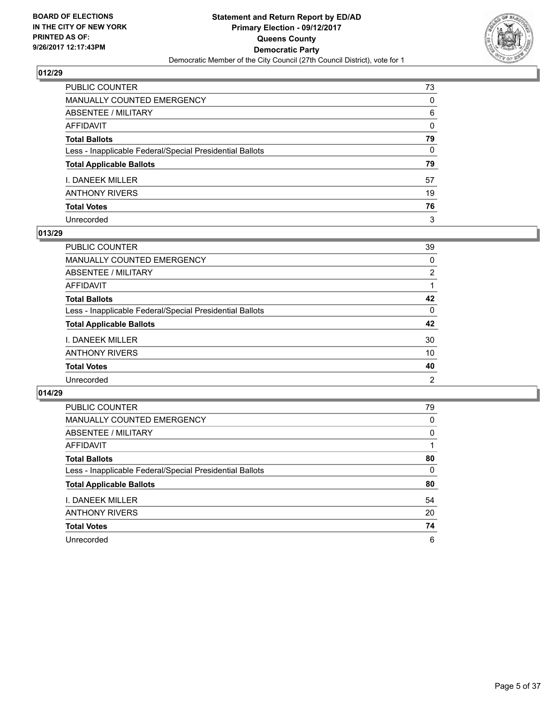

| PUBLIC COUNTER                                           | 73           |
|----------------------------------------------------------|--------------|
| MANUALLY COUNTED EMERGENCY                               | $\Omega$     |
| <b>ABSENTEE / MILITARY</b>                               | 6            |
| <b>AFFIDAVIT</b>                                         | $\mathbf{0}$ |
| <b>Total Ballots</b>                                     | 79           |
| Less - Inapplicable Federal/Special Presidential Ballots | 0            |
| <b>Total Applicable Ballots</b>                          | 79           |
| I. DANEEK MILLER                                         | 57           |
| <b>ANTHONY RIVERS</b>                                    | 19           |
| <b>Total Votes</b>                                       | 76           |
| Unrecorded                                               | 3            |

## **013/29**

| PUBLIC COUNTER                                           | 39       |
|----------------------------------------------------------|----------|
| MANUALLY COUNTED EMERGENCY                               | 0        |
| ABSENTEE / MILITARY                                      | 2        |
| AFFIDAVIT                                                |          |
| <b>Total Ballots</b>                                     | 42       |
| Less - Inapplicable Federal/Special Presidential Ballots | $\Omega$ |
| <b>Total Applicable Ballots</b>                          | 42       |
| <b>I. DANEEK MILLER</b>                                  | 30       |
| <b>ANTHONY RIVERS</b>                                    | 10       |
| <b>Total Votes</b>                                       | 40       |
| Unrecorded                                               | 2        |

| <b>PUBLIC COUNTER</b>                                    | 79 |
|----------------------------------------------------------|----|
| <b>MANUALLY COUNTED EMERGENCY</b>                        | 0  |
| ABSENTEE / MILITARY                                      | 0  |
| AFFIDAVIT                                                |    |
| <b>Total Ballots</b>                                     | 80 |
| Less - Inapplicable Federal/Special Presidential Ballots | 0  |
| <b>Total Applicable Ballots</b>                          | 80 |
| <b>I. DANEEK MILLER</b>                                  | 54 |
| <b>ANTHONY RIVERS</b>                                    | 20 |
| <b>Total Votes</b>                                       | 74 |
| Unrecorded                                               | 6  |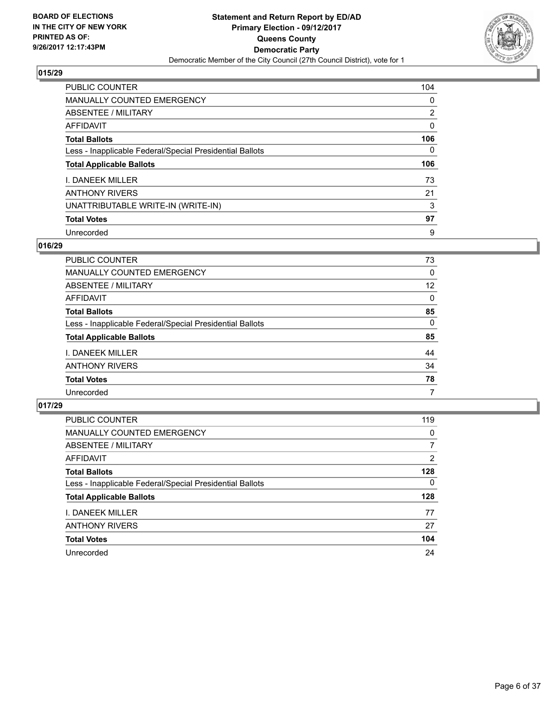

| PUBLIC COUNTER                                           | 104            |
|----------------------------------------------------------|----------------|
| <b>MANUALLY COUNTED EMERGENCY</b>                        | 0              |
| ABSENTEE / MILITARY                                      | $\overline{2}$ |
| AFFIDAVIT                                                | 0              |
| <b>Total Ballots</b>                                     | 106            |
| Less - Inapplicable Federal/Special Presidential Ballots | 0              |
| <b>Total Applicable Ballots</b>                          | 106            |
| I. DANEEK MILLER                                         | 73             |
| <b>ANTHONY RIVERS</b>                                    | 21             |
| UNATTRIBUTABLE WRITE-IN (WRITE-IN)                       | 3              |
| <b>Total Votes</b>                                       | 97             |
| Unrecorded                                               | 9              |

## **016/29**

| <b>PUBLIC COUNTER</b>                                    | 73       |
|----------------------------------------------------------|----------|
| MANUALLY COUNTED EMERGENCY                               | $\Omega$ |
| ABSENTEE / MILITARY                                      | 12       |
| AFFIDAVIT                                                | $\Omega$ |
| <b>Total Ballots</b>                                     | 85       |
| Less - Inapplicable Federal/Special Presidential Ballots | $\Omega$ |
| <b>Total Applicable Ballots</b>                          | 85       |
| <b>I. DANEEK MILLER</b>                                  | 44       |
| <b>ANTHONY RIVERS</b>                                    | 34       |
| <b>Total Votes</b>                                       | 78       |
| Unrecorded                                               | 7        |

| <b>PUBLIC COUNTER</b>                                    | 119 |
|----------------------------------------------------------|-----|
| MANUALLY COUNTED EMERGENCY                               | 0   |
| ABSENTEE / MILITARY                                      | 7   |
| AFFIDAVIT                                                | 2   |
| <b>Total Ballots</b>                                     | 128 |
| Less - Inapplicable Federal/Special Presidential Ballots | 0   |
| <b>Total Applicable Ballots</b>                          | 128 |
| I. DANEEK MILLER                                         | 77  |
| <b>ANTHONY RIVERS</b>                                    | 27  |
| <b>Total Votes</b>                                       | 104 |
| Unrecorded                                               | 24  |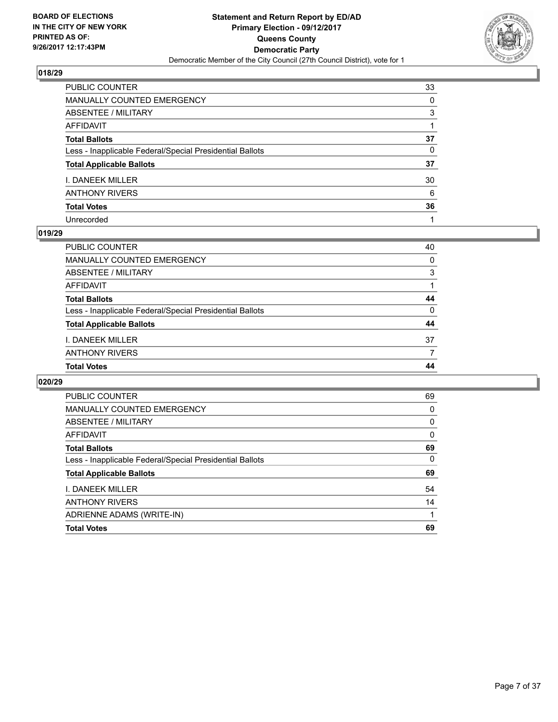

| PUBLIC COUNTER                                           | 33 |
|----------------------------------------------------------|----|
| <b>MANUALLY COUNTED EMERGENCY</b>                        | 0  |
| ABSENTEE / MILITARY                                      | 3  |
| AFFIDAVIT                                                |    |
| <b>Total Ballots</b>                                     | 37 |
| Less - Inapplicable Federal/Special Presidential Ballots | 0  |
| <b>Total Applicable Ballots</b>                          | 37 |
| I. DANEEK MILLER                                         | 30 |
| ANTHONY RIVERS                                           | 6  |
| <b>Total Votes</b>                                       | 36 |
| Unrecorded                                               |    |

#### **019/29**

| <b>Total Votes</b>                                       | 44 |
|----------------------------------------------------------|----|
| <b>ANTHONY RIVERS</b>                                    |    |
| I. DANEEK MILLER                                         | 37 |
| <b>Total Applicable Ballots</b>                          | 44 |
| Less - Inapplicable Federal/Special Presidential Ballots | 0  |
| <b>Total Ballots</b>                                     | 44 |
| AFFIDAVIT                                                |    |
| ABSENTEE / MILITARY                                      | 3  |
| MANUALLY COUNTED EMERGENCY                               | 0  |
| PUBLIC COUNTER                                           | 40 |

| <b>PUBLIC COUNTER</b>                                    | 69 |
|----------------------------------------------------------|----|
| <b>MANUALLY COUNTED EMERGENCY</b>                        | 0  |
| ABSENTEE / MILITARY                                      | 0  |
| <b>AFFIDAVIT</b>                                         | 0  |
| <b>Total Ballots</b>                                     | 69 |
| Less - Inapplicable Federal/Special Presidential Ballots | 0  |
| <b>Total Applicable Ballots</b>                          | 69 |
| I. DANEEK MILLER                                         | 54 |
| <b>ANTHONY RIVERS</b>                                    | 14 |
| ADRIENNE ADAMS (WRITE-IN)                                |    |
| <b>Total Votes</b>                                       | 69 |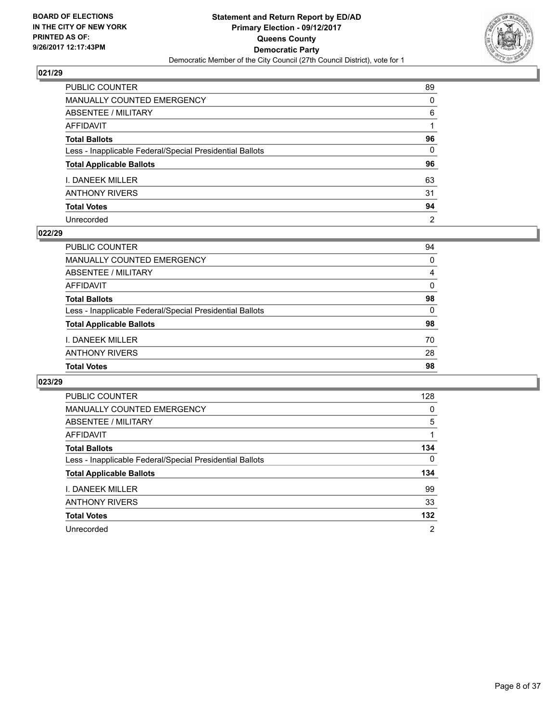

| PUBLIC COUNTER                                           | 89             |
|----------------------------------------------------------|----------------|
| MANUALLY COUNTED EMERGENCY                               | 0              |
| ABSENTEE / MILITARY                                      | 6              |
| AFFIDAVIT                                                |                |
| Total Ballots                                            | 96             |
| Less - Inapplicable Federal/Special Presidential Ballots | $\mathbf{0}$   |
| <b>Total Applicable Ballots</b>                          | 96             |
| I. DANEEK MILLER                                         | 63             |
| ANTHONY RIVERS                                           | 31             |
| <b>Total Votes</b>                                       | 94             |
| Unrecorded                                               | $\overline{2}$ |

#### **022/29**

| PUBLIC COUNTER                                           | 94       |
|----------------------------------------------------------|----------|
| MANUALLY COUNTED EMERGENCY                               | 0        |
| ABSENTEE / MILITARY                                      | 4        |
| AFFIDAVIT                                                | 0        |
| <b>Total Ballots</b>                                     | 98       |
| Less - Inapplicable Federal/Special Presidential Ballots | $\Omega$ |
| <b>Total Applicable Ballots</b>                          | 98       |
| <b>I. DANEEK MILLER</b>                                  | 70       |
| <b>ANTHONY RIVERS</b>                                    | 28       |
| <b>Total Votes</b>                                       | 98       |

| <b>PUBLIC COUNTER</b>                                    | 128 |
|----------------------------------------------------------|-----|
| MANUALLY COUNTED EMERGENCY                               | 0   |
| ABSENTEE / MILITARY                                      | 5   |
| AFFIDAVIT                                                |     |
| <b>Total Ballots</b>                                     | 134 |
| Less - Inapplicable Federal/Special Presidential Ballots | 0   |
| <b>Total Applicable Ballots</b>                          | 134 |
| I. DANEEK MILLER                                         | 99  |
| <b>ANTHONY RIVERS</b>                                    | 33  |
| <b>Total Votes</b>                                       | 132 |
| Unrecorded                                               | 2   |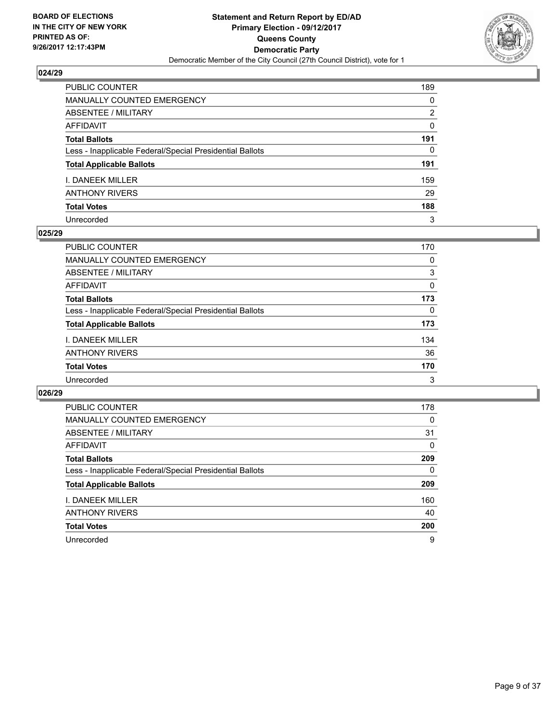

| PUBLIC COUNTER                                           | 189      |
|----------------------------------------------------------|----------|
| <b>MANUALLY COUNTED EMERGENCY</b>                        | 0        |
| ABSENTEE / MILITARY                                      | 2        |
| <b>AFFIDAVIT</b>                                         | $\Omega$ |
| <b>Total Ballots</b>                                     | 191      |
| Less - Inapplicable Federal/Special Presidential Ballots | 0        |
| <b>Total Applicable Ballots</b>                          | 191      |
| <b>I. DANEEK MILLER</b>                                  | 159      |
| <b>ANTHONY RIVERS</b>                                    | 29       |
| <b>Total Votes</b>                                       | 188      |
| Unrecorded                                               | 3        |

#### **025/29**

| <b>PUBLIC COUNTER</b>                                    | 170      |
|----------------------------------------------------------|----------|
| <b>MANUALLY COUNTED EMERGENCY</b>                        | 0        |
| ABSENTEE / MILITARY                                      | 3        |
| AFFIDAVIT                                                | $\Omega$ |
| <b>Total Ballots</b>                                     | 173      |
| Less - Inapplicable Federal/Special Presidential Ballots | 0        |
| <b>Total Applicable Ballots</b>                          | 173      |
| <b>I. DANEEK MILLER</b>                                  | 134      |
| <b>ANTHONY RIVERS</b>                                    | 36       |
| <b>Total Votes</b>                                       | 170      |
| Unrecorded                                               | 3        |

| <b>PUBLIC COUNTER</b>                                    | 178 |
|----------------------------------------------------------|-----|
| MANUALLY COUNTED EMERGENCY                               | 0   |
| ABSENTEE / MILITARY                                      | 31  |
| AFFIDAVIT                                                | 0   |
| <b>Total Ballots</b>                                     | 209 |
| Less - Inapplicable Federal/Special Presidential Ballots | 0   |
| <b>Total Applicable Ballots</b>                          | 209 |
| <b>I. DANEEK MILLER</b>                                  | 160 |
| <b>ANTHONY RIVERS</b>                                    | 40  |
| <b>Total Votes</b>                                       | 200 |
| Unrecorded                                               | 9   |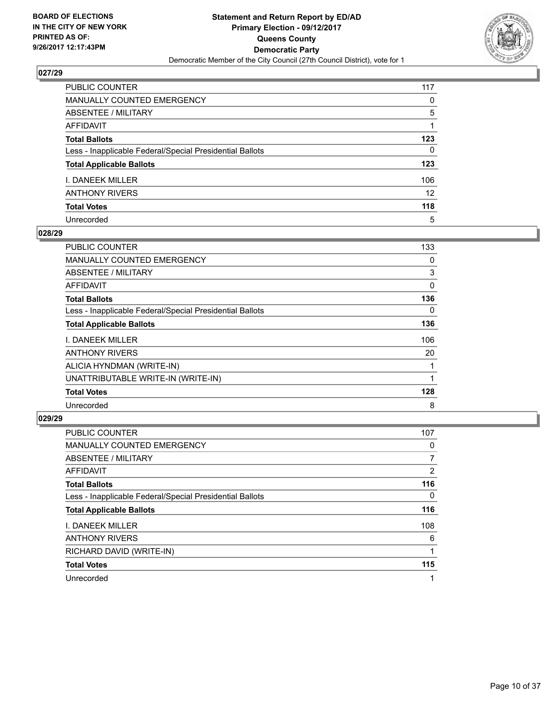

| PUBLIC COUNTER                                           | 117             |
|----------------------------------------------------------|-----------------|
| MANUALLY COUNTED EMERGENCY                               | 0               |
| ABSENTEE / MILITARY                                      | 5               |
| AFFIDAVIT                                                |                 |
| Total Ballots                                            | 123             |
| Less - Inapplicable Federal/Special Presidential Ballots | $\mathbf{0}$    |
| <b>Total Applicable Ballots</b>                          | 123             |
| I. DANEEK MILLER                                         | 106             |
| ANTHONY RIVERS                                           | 12 <sup>2</sup> |
| <b>Total Votes</b>                                       | 118             |
| Unrecorded                                               | 5               |

## **028/29**

| <b>PUBLIC COUNTER</b>                                    | 133 |
|----------------------------------------------------------|-----|
| <b>MANUALLY COUNTED EMERGENCY</b>                        | 0   |
| ABSENTEE / MILITARY                                      | 3   |
| AFFIDAVIT                                                | 0   |
| <b>Total Ballots</b>                                     | 136 |
| Less - Inapplicable Federal/Special Presidential Ballots | 0   |
| <b>Total Applicable Ballots</b>                          | 136 |
| <b>I. DANEEK MILLER</b>                                  | 106 |
| <b>ANTHONY RIVERS</b>                                    | 20  |
| ALICIA HYNDMAN (WRITE-IN)                                |     |
| UNATTRIBUTABLE WRITE-IN (WRITE-IN)                       |     |
| <b>Total Votes</b>                                       | 128 |
| Unrecorded                                               | 8   |

| <b>PUBLIC COUNTER</b>                                    | 107            |
|----------------------------------------------------------|----------------|
| MANUALLY COUNTED EMERGENCY                               | 0              |
| ABSENTEE / MILITARY                                      |                |
| <b>AFFIDAVIT</b>                                         | $\overline{2}$ |
| <b>Total Ballots</b>                                     | 116            |
| Less - Inapplicable Federal/Special Presidential Ballots | 0              |
| <b>Total Applicable Ballots</b>                          | 116            |
| <b>I. DANEEK MILLER</b>                                  | 108            |
| <b>ANTHONY RIVERS</b>                                    | 6              |
| RICHARD DAVID (WRITE-IN)                                 |                |
| <b>Total Votes</b>                                       | 115            |
| Unrecorded                                               |                |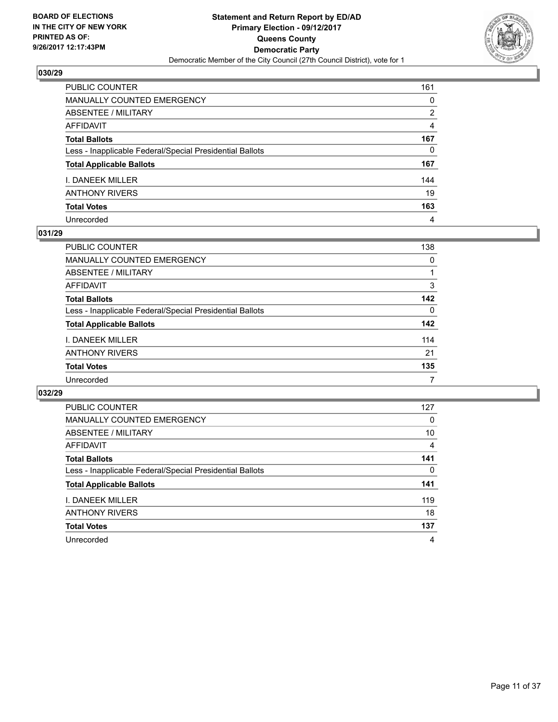

| PUBLIC COUNTER                                           | 161 |
|----------------------------------------------------------|-----|
| <b>MANUALLY COUNTED EMERGENCY</b>                        | 0   |
| <b>ABSENTEE / MILITARY</b>                               | 2   |
| <b>AFFIDAVIT</b>                                         | 4   |
| <b>Total Ballots</b>                                     | 167 |
| Less - Inapplicable Federal/Special Presidential Ballots | 0   |
| <b>Total Applicable Ballots</b>                          | 167 |
| I. DANEEK MILLER                                         | 144 |
| <b>ANTHONY RIVERS</b>                                    | 19  |
| <b>Total Votes</b>                                       | 163 |
| Unrecorded                                               | 4   |

#### **031/29**

| <b>PUBLIC COUNTER</b>                                    | 138 |
|----------------------------------------------------------|-----|
| MANUALLY COUNTED EMERGENCY                               | 0   |
| ABSENTEE / MILITARY                                      |     |
| AFFIDAVIT                                                | 3   |
| <b>Total Ballots</b>                                     | 142 |
| Less - Inapplicable Federal/Special Presidential Ballots | 0   |
| <b>Total Applicable Ballots</b>                          | 142 |
| <b>I. DANEEK MILLER</b>                                  | 114 |
| <b>ANTHONY RIVERS</b>                                    | 21  |
| <b>Total Votes</b>                                       | 135 |
| Unrecorded                                               |     |

| <b>PUBLIC COUNTER</b>                                    | 127 |
|----------------------------------------------------------|-----|
| MANUALLY COUNTED EMERGENCY                               | 0   |
| ABSENTEE / MILITARY                                      | 10  |
| AFFIDAVIT                                                | 4   |
| <b>Total Ballots</b>                                     | 141 |
| Less - Inapplicable Federal/Special Presidential Ballots | 0   |
| <b>Total Applicable Ballots</b>                          | 141 |
| I. DANEEK MILLER                                         | 119 |
| <b>ANTHONY RIVERS</b>                                    | 18  |
| <b>Total Votes</b>                                       | 137 |
| Unrecorded                                               | 4   |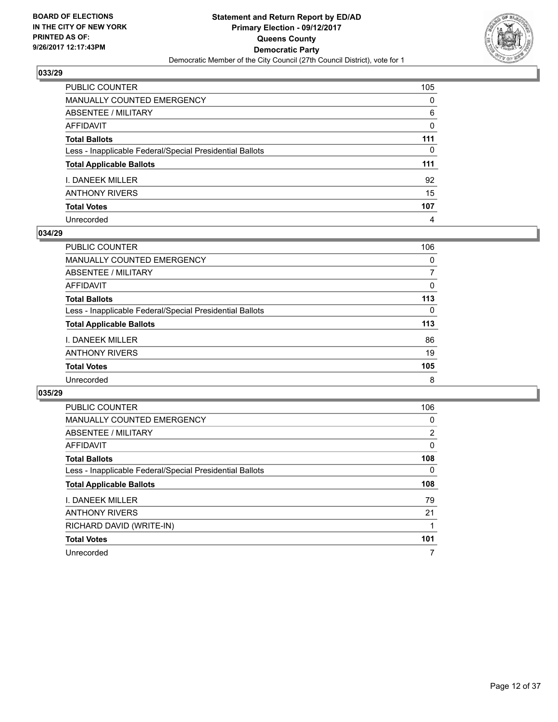

| PUBLIC COUNTER                                           | 105      |
|----------------------------------------------------------|----------|
| <b>MANUALLY COUNTED EMERGENCY</b>                        | $\Omega$ |
| <b>ABSENTEE / MILITARY</b>                               | 6        |
| <b>AFFIDAVIT</b>                                         | $\Omega$ |
| <b>Total Ballots</b>                                     | 111      |
| Less - Inapplicable Federal/Special Presidential Ballots | 0        |
| <b>Total Applicable Ballots</b>                          | 111      |
| I. DANEEK MILLER                                         | 92       |
| <b>ANTHONY RIVERS</b>                                    | 15       |
| <b>Total Votes</b>                                       | 107      |
| Unrecorded                                               | 4        |

#### **034/29**

| <b>PUBLIC COUNTER</b>                                    | 106 |
|----------------------------------------------------------|-----|
| MANUALLY COUNTED EMERGENCY                               | 0   |
| ABSENTEE / MILITARY                                      | 7   |
| AFFIDAVIT                                                | 0   |
| <b>Total Ballots</b>                                     | 113 |
| Less - Inapplicable Federal/Special Presidential Ballots | 0   |
| <b>Total Applicable Ballots</b>                          | 113 |
| <b>I. DANEEK MILLER</b>                                  | 86  |
| <b>ANTHONY RIVERS</b>                                    | 19  |
| <b>Total Votes</b>                                       | 105 |
| Unrecorded                                               | 8   |

| <b>PUBLIC COUNTER</b>                                    | 106 |
|----------------------------------------------------------|-----|
| <b>MANUALLY COUNTED EMERGENCY</b>                        | 0   |
| ABSENTEE / MILITARY                                      | 2   |
| AFFIDAVIT                                                | 0   |
| <b>Total Ballots</b>                                     | 108 |
| Less - Inapplicable Federal/Special Presidential Ballots | 0   |
| <b>Total Applicable Ballots</b>                          | 108 |
| <b>I. DANEEK MILLER</b>                                  | 79  |
| <b>ANTHONY RIVERS</b>                                    | 21  |
|                                                          |     |
| RICHARD DAVID (WRITE-IN)                                 |     |
| <b>Total Votes</b>                                       | 101 |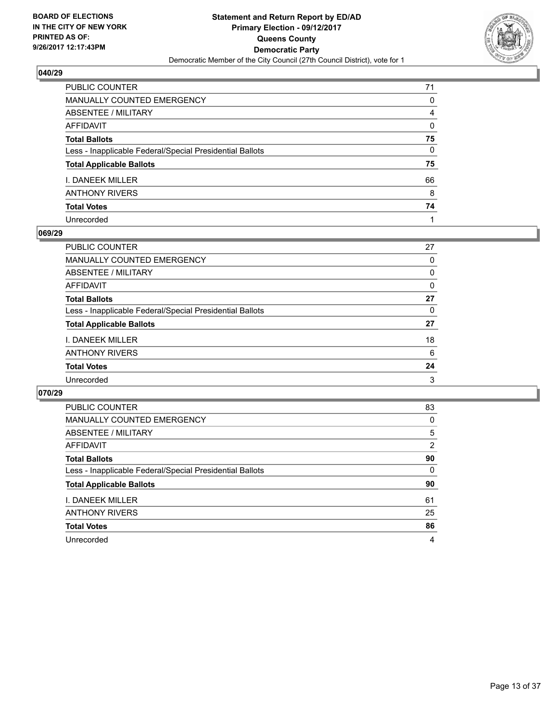

| PUBLIC COUNTER                                           | 71 |
|----------------------------------------------------------|----|
| <b>MANUALLY COUNTED EMERGENCY</b>                        | 0  |
| ABSENTEE / MILITARY                                      | 4  |
| <b>AFFIDAVIT</b>                                         | 0  |
| <b>Total Ballots</b>                                     | 75 |
| Less - Inapplicable Federal/Special Presidential Ballots | 0  |
| <b>Total Applicable Ballots</b>                          | 75 |
| I. DANEEK MILLER                                         | 66 |
| <b>ANTHONY RIVERS</b>                                    | 8  |
| <b>Total Votes</b>                                       | 74 |
| Unrecorded                                               |    |

#### **069/29**

| PUBLIC COUNTER                                           | 27 |
|----------------------------------------------------------|----|
| MANUALLY COUNTED EMERGENCY                               | 0  |
| ABSENTEE / MILITARY                                      | 0  |
| AFFIDAVIT                                                | 0  |
| <b>Total Ballots</b>                                     | 27 |
| Less - Inapplicable Federal/Special Presidential Ballots | 0  |
| <b>Total Applicable Ballots</b>                          | 27 |
| <b>I. DANEEK MILLER</b>                                  | 18 |
| <b>ANTHONY RIVERS</b>                                    | 6  |
| <b>Total Votes</b>                                       | 24 |
| Unrecorded                                               | 3  |

| <b>PUBLIC COUNTER</b>                                    | 83 |
|----------------------------------------------------------|----|
| <b>MANUALLY COUNTED EMERGENCY</b>                        | 0  |
| ABSENTEE / MILITARY                                      | 5  |
| AFFIDAVIT                                                | 2  |
| <b>Total Ballots</b>                                     | 90 |
| Less - Inapplicable Federal/Special Presidential Ballots | 0  |
| <b>Total Applicable Ballots</b>                          | 90 |
| <b>I. DANEEK MILLER</b>                                  | 61 |
| <b>ANTHONY RIVERS</b>                                    | 25 |
| <b>Total Votes</b>                                       | 86 |
| Unrecorded                                               | 4  |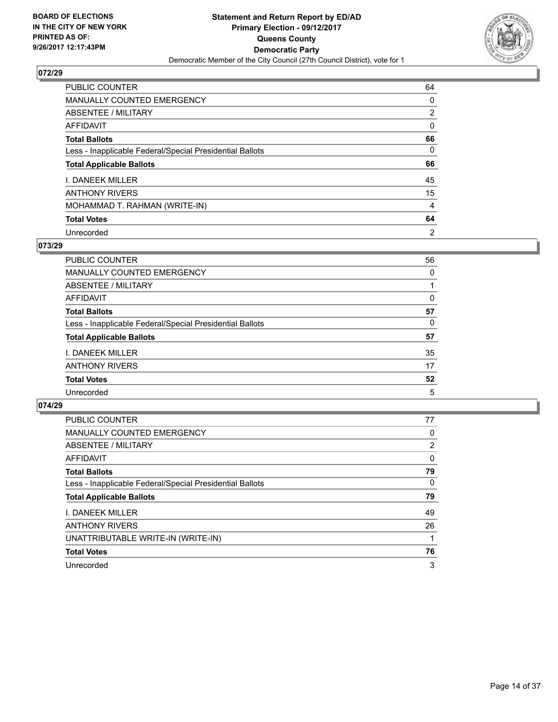

| <b>PUBLIC COUNTER</b>                                    | 64             |
|----------------------------------------------------------|----------------|
| <b>MANUALLY COUNTED EMERGENCY</b>                        | 0              |
| <b>ABSENTEE / MILITARY</b>                               | $\overline{2}$ |
| AFFIDAVIT                                                | 0              |
| <b>Total Ballots</b>                                     | 66             |
| Less - Inapplicable Federal/Special Presidential Ballots | 0              |
| <b>Total Applicable Ballots</b>                          | 66             |
| I. DANEEK MILLER                                         | 45             |
| <b>ANTHONY RIVERS</b>                                    | 15             |
| MOHAMMAD T. RAHMAN (WRITE-IN)                            | 4              |
| <b>Total Votes</b>                                       | 64             |
| Unrecorded                                               | $\overline{2}$ |

## **073/29**

| PUBLIC COUNTER                                           | 56 |
|----------------------------------------------------------|----|
| MANUALLY COUNTED EMERGENCY                               | 0  |
| ABSENTEE / MILITARY                                      |    |
| AFFIDAVIT                                                | 0  |
| <b>Total Ballots</b>                                     | 57 |
| Less - Inapplicable Federal/Special Presidential Ballots | 0  |
| <b>Total Applicable Ballots</b>                          | 57 |
| <b>I. DANEEK MILLER</b>                                  | 35 |
| <b>ANTHONY RIVERS</b>                                    | 17 |
| <b>Total Votes</b>                                       | 52 |
| Unrecorded                                               | 5  |

| <b>PUBLIC COUNTER</b>                                    | 77             |
|----------------------------------------------------------|----------------|
| MANUALLY COUNTED EMERGENCY                               | 0              |
| ABSENTEE / MILITARY                                      | $\overline{2}$ |
| <b>AFFIDAVIT</b>                                         | 0              |
| <b>Total Ballots</b>                                     | 79             |
| Less - Inapplicable Federal/Special Presidential Ballots | 0              |
| <b>Total Applicable Ballots</b>                          | 79             |
| <b>I. DANEEK MILLER</b>                                  | 49             |
| <b>ANTHONY RIVERS</b>                                    | 26             |
| UNATTRIBUTABLE WRITE-IN (WRITE-IN)                       |                |
| <b>Total Votes</b>                                       | 76             |
| Unrecorded                                               | 3              |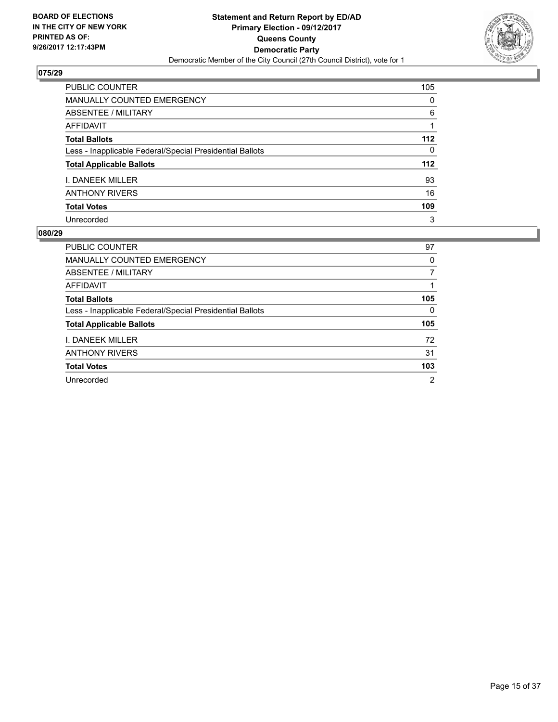

| <b>PUBLIC COUNTER</b>                                    | 105   |
|----------------------------------------------------------|-------|
| <b>MANUALLY COUNTED EMERGENCY</b>                        | 0     |
| ABSENTEE / MILITARY                                      | 6     |
| AFFIDAVIT                                                |       |
| <b>Total Ballots</b>                                     | $112$ |
| Less - Inapplicable Federal/Special Presidential Ballots | 0     |
| <b>Total Applicable Ballots</b>                          | 112   |
| I. DANEEK MILLER                                         | 93    |
| <b>ANTHONY RIVERS</b>                                    | 16    |
| <b>Total Votes</b>                                       | 109   |
| Unrecorded                                               | 3     |

| <b>PUBLIC COUNTER</b>                                    | 97             |
|----------------------------------------------------------|----------------|
| <b>MANUALLY COUNTED EMERGENCY</b>                        | 0              |
| ABSENTEE / MILITARY                                      | 7              |
| AFFIDAVIT                                                |                |
| <b>Total Ballots</b>                                     | 105            |
| Less - Inapplicable Federal/Special Presidential Ballots | 0              |
| <b>Total Applicable Ballots</b>                          | 105            |
| <b>I. DANEEK MILLER</b>                                  | 72             |
| <b>ANTHONY RIVERS</b>                                    | 31             |
| <b>Total Votes</b>                                       | 103            |
| Unrecorded                                               | $\overline{2}$ |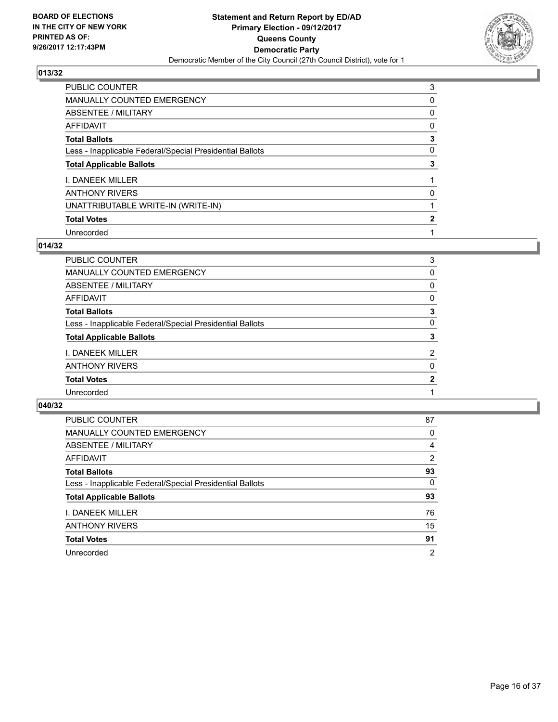

| <b>PUBLIC COUNTER</b>                                    | 3            |
|----------------------------------------------------------|--------------|
| MANUALLY COUNTED EMERGENCY                               | 0            |
| <b>ABSENTEE / MILITARY</b>                               | 0            |
| AFFIDAVIT                                                | 0            |
| <b>Total Ballots</b>                                     | 3            |
| Less - Inapplicable Federal/Special Presidential Ballots | 0            |
| <b>Total Applicable Ballots</b>                          | 3            |
| I. DANEEK MILLER                                         |              |
| <b>ANTHONY RIVERS</b>                                    | 0            |
| UNATTRIBUTABLE WRITE-IN (WRITE-IN)                       |              |
| <b>Total Votes</b>                                       | $\mathbf{2}$ |
| Unrecorded                                               |              |

## **014/32**

| PUBLIC COUNTER                                           | 3            |
|----------------------------------------------------------|--------------|
| <b>MANUALLY COUNTED EMERGENCY</b>                        | 0            |
| <b>ABSENTEE / MILITARY</b>                               | 0            |
| <b>AFFIDAVIT</b>                                         | 0            |
| <b>Total Ballots</b>                                     | 3            |
| Less - Inapplicable Federal/Special Presidential Ballots | 0            |
| <b>Total Applicable Ballots</b>                          | 3            |
| I. DANEEK MILLER                                         | 2            |
| <b>ANTHONY RIVERS</b>                                    | 0            |
| <b>Total Votes</b>                                       | $\mathbf{2}$ |
| Unrecorded                                               |              |
|                                                          |              |

| <b>PUBLIC COUNTER</b>                                    | 87             |
|----------------------------------------------------------|----------------|
| MANUALLY COUNTED EMERGENCY                               | 0              |
| ABSENTEE / MILITARY                                      | 4              |
| AFFIDAVIT                                                | 2              |
| <b>Total Ballots</b>                                     | 93             |
| Less - Inapplicable Federal/Special Presidential Ballots | 0              |
| <b>Total Applicable Ballots</b>                          | 93             |
| I. DANEEK MILLER                                         | 76             |
| <b>ANTHONY RIVERS</b>                                    | 15             |
| <b>Total Votes</b>                                       | 91             |
| Unrecorded                                               | $\overline{2}$ |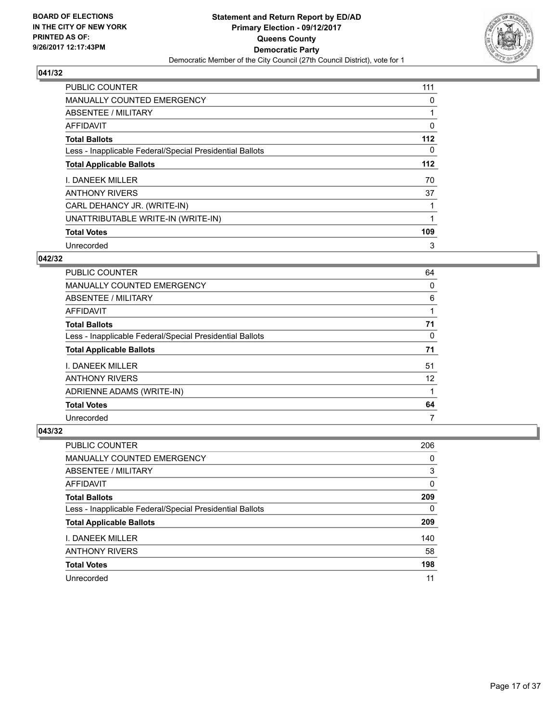

| <b>PUBLIC COUNTER</b>                                    | 111         |
|----------------------------------------------------------|-------------|
| <b>MANUALLY COUNTED EMERGENCY</b>                        | 0           |
| ABSENTEE / MILITARY                                      | 1           |
| AFFIDAVIT                                                | 0           |
| <b>Total Ballots</b>                                     | $112$       |
| Less - Inapplicable Federal/Special Presidential Ballots | 0           |
| <b>Total Applicable Ballots</b>                          | $112$       |
| I. DANEEK MILLER                                         | 70          |
| <b>ANTHONY RIVERS</b>                                    | 37          |
| CARL DEHANCY JR. (WRITE-IN)                              |             |
| UNATTRIBUTABLE WRITE-IN (WRITE-IN)                       | $\mathbf 1$ |
| <b>Total Votes</b>                                       | 109         |
| Unrecorded                                               | 3           |

## **042/32**

| <b>PUBLIC COUNTER</b>                                    | 64 |
|----------------------------------------------------------|----|
| <b>MANUALLY COUNTED EMERGENCY</b>                        | 0  |
| ABSENTEE / MILITARY                                      | 6  |
| AFFIDAVIT                                                |    |
| <b>Total Ballots</b>                                     | 71 |
| Less - Inapplicable Federal/Special Presidential Ballots | 0  |
| <b>Total Applicable Ballots</b>                          | 71 |
| I. DANEEK MILLER                                         | 51 |
| <b>ANTHONY RIVERS</b>                                    | 12 |
| ADRIENNE ADAMS (WRITE-IN)                                |    |
| <b>Total Votes</b>                                       | 64 |
| Unrecorded                                               | 7  |

| PUBLIC COUNTER                                           | 206 |
|----------------------------------------------------------|-----|
| <b>MANUALLY COUNTED EMERGENCY</b>                        | 0   |
| ABSENTEE / MILITARY                                      | 3   |
| AFFIDAVIT                                                | 0   |
| <b>Total Ballots</b>                                     | 209 |
| Less - Inapplicable Federal/Special Presidential Ballots | 0   |
| <b>Total Applicable Ballots</b>                          | 209 |
| <b>I. DANEEK MILLER</b>                                  | 140 |
| <b>ANTHONY RIVERS</b>                                    | 58  |
| <b>Total Votes</b>                                       | 198 |
| Unrecorded                                               | 11  |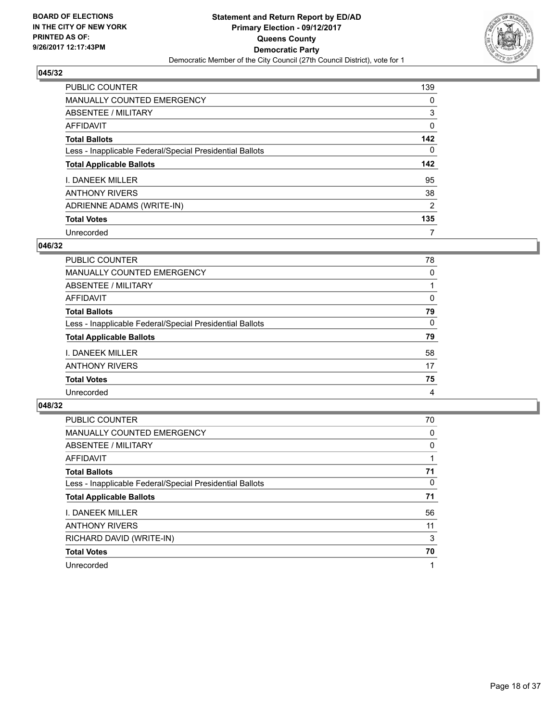

| <b>PUBLIC COUNTER</b>                                    | 139            |
|----------------------------------------------------------|----------------|
| <b>MANUALLY COUNTED EMERGENCY</b>                        | 0              |
| ABSENTEE / MILITARY                                      | 3              |
| AFFIDAVIT                                                | 0              |
| <b>Total Ballots</b>                                     | 142            |
| Less - Inapplicable Federal/Special Presidential Ballots | 0              |
|                                                          |                |
| <b>Total Applicable Ballots</b>                          |                |
| <b>I. DANEEK MILLER</b>                                  | 95             |
| <b>ANTHONY RIVERS</b>                                    | 38             |
| ADRIENNE ADAMS (WRITE-IN)                                | $\overline{2}$ |
| <b>Total Votes</b>                                       | 142<br>135     |

## **046/32**

| PUBLIC COUNTER                                           | 78 |
|----------------------------------------------------------|----|
| <b>MANUALLY COUNTED EMERGENCY</b>                        | 0  |
| ABSENTEE / MILITARY                                      |    |
| AFFIDAVIT                                                | 0  |
| <b>Total Ballots</b>                                     | 79 |
| Less - Inapplicable Federal/Special Presidential Ballots | 0  |
| <b>Total Applicable Ballots</b>                          | 79 |
| <b>I. DANEEK MILLER</b>                                  | 58 |
| <b>ANTHONY RIVERS</b>                                    | 17 |
| <b>Total Votes</b>                                       | 75 |
| Unrecorded                                               | 4  |

| <b>PUBLIC COUNTER</b>                                    | 70       |
|----------------------------------------------------------|----------|
| MANUALLY COUNTED EMERGENCY                               | 0        |
| ABSENTEE / MILITARY                                      | 0        |
| AFFIDAVIT                                                |          |
| <b>Total Ballots</b>                                     | 71       |
| Less - Inapplicable Federal/Special Presidential Ballots | $\Omega$ |
| <b>Total Applicable Ballots</b>                          | 71       |
| <b>I. DANEEK MILLER</b>                                  | 56       |
| <b>ANTHONY RIVERS</b>                                    | 11       |
| RICHARD DAVID (WRITE-IN)                                 | 3        |
| <b>Total Votes</b>                                       | 70       |
| Unrecorded                                               | 1        |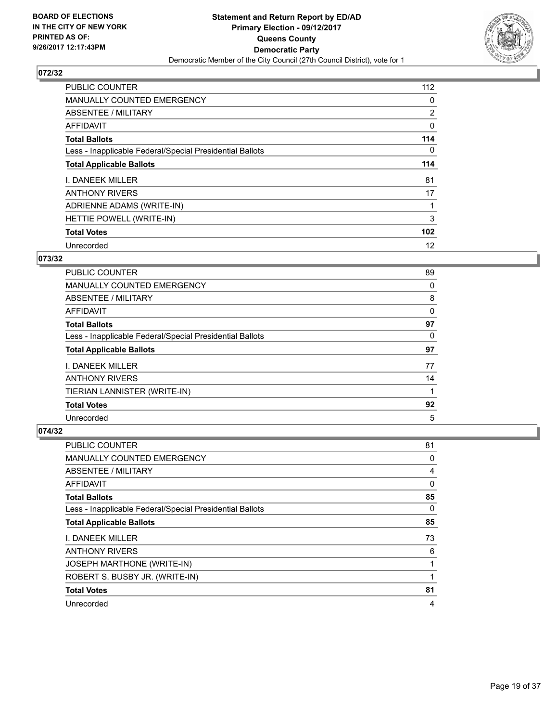

| <b>PUBLIC COUNTER</b>                                    | 112            |
|----------------------------------------------------------|----------------|
| <b>MANUALLY COUNTED EMERGENCY</b>                        | 0              |
| ABSENTEE / MILITARY                                      | $\overline{2}$ |
| AFFIDAVIT                                                | 0              |
| <b>Total Ballots</b>                                     | 114            |
| Less - Inapplicable Federal/Special Presidential Ballots | 0              |
| <b>Total Applicable Ballots</b>                          | 114            |
| I. DANEEK MILLER                                         | 81             |
| <b>ANTHONY RIVERS</b>                                    | 17             |
| ADRIENNE ADAMS (WRITE-IN)                                |                |
| HETTIE POWELL (WRITE-IN)                                 | 3              |
| <b>Total Votes</b>                                       | 102            |
| Unrecorded                                               | 12             |

## **073/32**

| PUBLIC COUNTER                                           | 89 |
|----------------------------------------------------------|----|
| <b>MANUALLY COUNTED EMERGENCY</b>                        | 0  |
| ABSENTEE / MILITARY                                      | 8  |
| AFFIDAVIT                                                | 0  |
| <b>Total Ballots</b>                                     | 97 |
| Less - Inapplicable Federal/Special Presidential Ballots | 0  |
| <b>Total Applicable Ballots</b>                          | 97 |
| I. DANEEK MILLER                                         | 77 |
| <b>ANTHONY RIVERS</b>                                    | 14 |
| TIERIAN LANNISTER (WRITE-IN)                             |    |
| <b>Total Votes</b>                                       | 92 |
| Unrecorded                                               | 5  |

| PUBLIC COUNTER                                           | 81 |
|----------------------------------------------------------|----|
| <b>MANUALLY COUNTED EMERGENCY</b>                        | 0  |
| ABSENTEE / MILITARY                                      | 4  |
| AFFIDAVIT                                                | 0  |
| <b>Total Ballots</b>                                     | 85 |
| Less - Inapplicable Federal/Special Presidential Ballots | 0  |
| <b>Total Applicable Ballots</b>                          | 85 |
| <b>I. DANEEK MILLER</b>                                  | 73 |
| <b>ANTHONY RIVERS</b>                                    | 6  |
| <b>JOSEPH MARTHONE (WRITE-IN)</b>                        | 1  |
| ROBERT S. BUSBY JR. (WRITE-IN)                           |    |
| <b>Total Votes</b>                                       | 81 |
| Unrecorded                                               | 4  |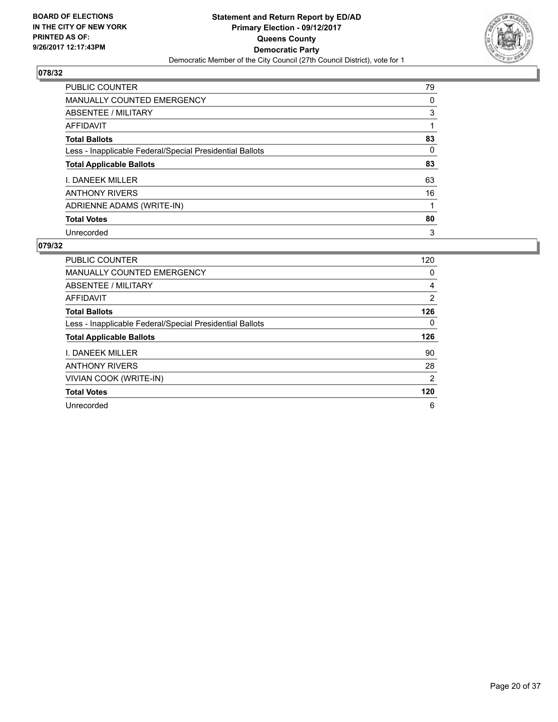

| <b>PUBLIC COUNTER</b>                                    | 79 |
|----------------------------------------------------------|----|
| <b>MANUALLY COUNTED EMERGENCY</b>                        | 0  |
| ABSENTEE / MILITARY                                      | 3  |
| AFFIDAVIT                                                |    |
| <b>Total Ballots</b>                                     | 83 |
| Less - Inapplicable Federal/Special Presidential Ballots | 0  |
| <b>Total Applicable Ballots</b>                          | 83 |
| <b>I. DANEEK MILLER</b>                                  | 63 |
| <b>ANTHONY RIVERS</b>                                    | 16 |
| ADRIENNE ADAMS (WRITE-IN)                                |    |
| <b>Total Votes</b>                                       | 80 |
| Unrecorded                                               | 3  |

| <b>PUBLIC COUNTER</b>                                    | 120 |
|----------------------------------------------------------|-----|
| <b>MANUALLY COUNTED EMERGENCY</b>                        | 0   |
| ABSENTEE / MILITARY                                      | 4   |
| AFFIDAVIT                                                | 2   |
| <b>Total Ballots</b>                                     | 126 |
| Less - Inapplicable Federal/Special Presidential Ballots | 0   |
|                                                          |     |
| <b>Total Applicable Ballots</b>                          | 126 |
| I. DANEEK MILLER                                         | 90  |
| <b>ANTHONY RIVERS</b>                                    | 28  |
| <b>VIVIAN COOK (WRITE-IN)</b>                            | 2   |
| <b>Total Votes</b>                                       | 120 |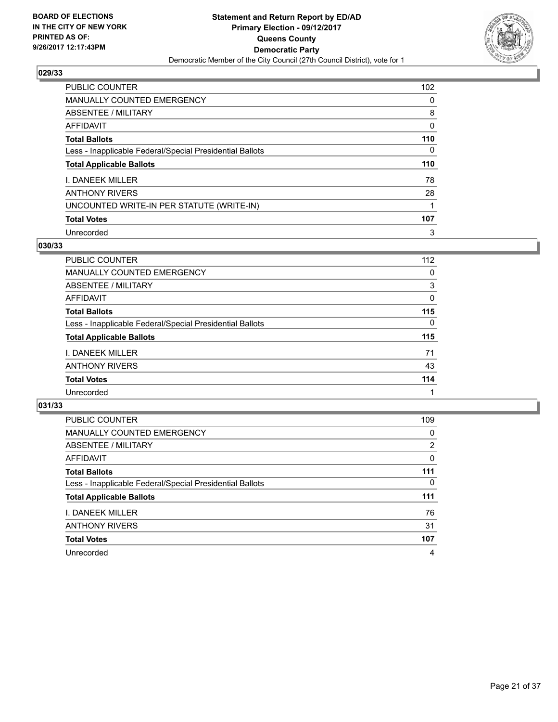

| PUBLIC COUNTER                                           | 102 |
|----------------------------------------------------------|-----|
| <b>MANUALLY COUNTED EMERGENCY</b>                        | 0   |
| ABSENTEE / MILITARY                                      | 8   |
| AFFIDAVIT                                                | 0   |
| <b>Total Ballots</b>                                     | 110 |
| Less - Inapplicable Federal/Special Presidential Ballots | 0   |
| <b>Total Applicable Ballots</b>                          | 110 |
| I. DANEEK MILLER                                         | 78  |
| <b>ANTHONY RIVERS</b>                                    | 28  |
| UNCOUNTED WRITE-IN PER STATUTE (WRITE-IN)                |     |
| <b>Total Votes</b>                                       | 107 |
| Unrecorded                                               | 3   |

## **030/33**

| <b>PUBLIC COUNTER</b>                                    | 112      |
|----------------------------------------------------------|----------|
| <b>MANUALLY COUNTED EMERGENCY</b>                        | 0        |
| ABSENTEE / MILITARY                                      | 3        |
| AFFIDAVIT                                                | 0        |
| <b>Total Ballots</b>                                     | 115      |
| Less - Inapplicable Federal/Special Presidential Ballots | $\Omega$ |
| <b>Total Applicable Ballots</b>                          | 115      |
| <b>I. DANEEK MILLER</b>                                  | 71       |
| <b>ANTHONY RIVERS</b>                                    | 43       |
| <b>Total Votes</b>                                       | 114      |
| Unrecorded                                               |          |

| <b>PUBLIC COUNTER</b>                                    | 109 |
|----------------------------------------------------------|-----|
| <b>MANUALLY COUNTED EMERGENCY</b>                        | 0   |
| ABSENTEE / MILITARY                                      | 2   |
| AFFIDAVIT                                                | 0   |
| <b>Total Ballots</b>                                     | 111 |
| Less - Inapplicable Federal/Special Presidential Ballots | 0   |
| <b>Total Applicable Ballots</b>                          | 111 |
| I. DANEEK MILLER                                         | 76  |
| <b>ANTHONY RIVERS</b>                                    | 31  |
| <b>Total Votes</b>                                       | 107 |
|                                                          |     |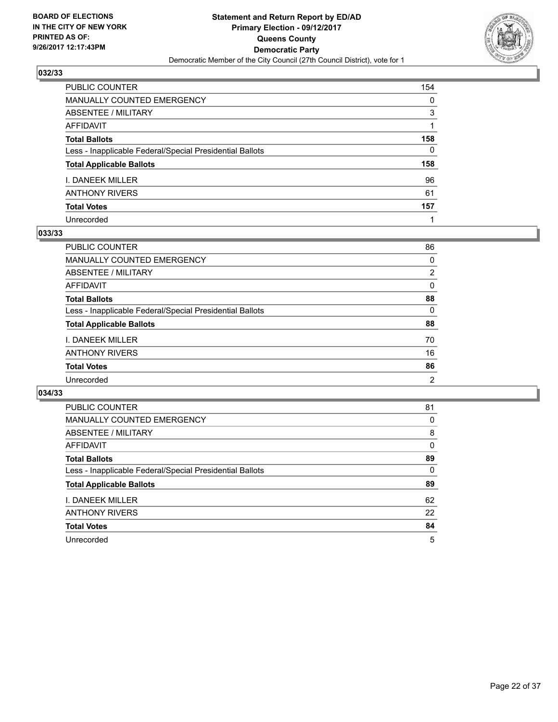

| PUBLIC COUNTER                                           | 154          |
|----------------------------------------------------------|--------------|
| <b>MANUALLY COUNTED EMERGENCY</b>                        | 0            |
| <b>ABSENTEE / MILITARY</b>                               | 3            |
| AFFIDAVIT                                                |              |
| <b>Total Ballots</b>                                     | 158          |
| Less - Inapplicable Federal/Special Presidential Ballots | $\mathbf{0}$ |
| <b>Total Applicable Ballots</b>                          | 158          |
| I. DANEEK MILLER                                         | 96           |
| <b>ANTHONY RIVERS</b>                                    | 61           |
| <b>Total Votes</b>                                       | 157          |
| Unrecorded                                               |              |

#### **033/33**

| <b>PUBLIC COUNTER</b>                                    | 86             |
|----------------------------------------------------------|----------------|
| MANUALLY COUNTED EMERGENCY                               | 0              |
| ABSENTEE / MILITARY                                      | $\overline{2}$ |
| AFFIDAVIT                                                | 0              |
| <b>Total Ballots</b>                                     | 88             |
| Less - Inapplicable Federal/Special Presidential Ballots | 0              |
| <b>Total Applicable Ballots</b>                          | 88             |
| <b>I. DANEEK MILLER</b>                                  | 70             |
| <b>ANTHONY RIVERS</b>                                    | 16             |
| <b>Total Votes</b>                                       | 86             |
| Unrecorded                                               | 2              |

| <b>PUBLIC COUNTER</b>                                    | 81 |
|----------------------------------------------------------|----|
| <b>MANUALLY COUNTED EMERGENCY</b>                        | 0  |
| ABSENTEE / MILITARY                                      | 8  |
| AFFIDAVIT                                                | 0  |
| <b>Total Ballots</b>                                     | 89 |
| Less - Inapplicable Federal/Special Presidential Ballots | 0  |
| <b>Total Applicable Ballots</b>                          | 89 |
| <b>I. DANEEK MILLER</b>                                  | 62 |
| <b>ANTHONY RIVERS</b>                                    | 22 |
| <b>Total Votes</b>                                       | 84 |
| Unrecorded                                               | 5  |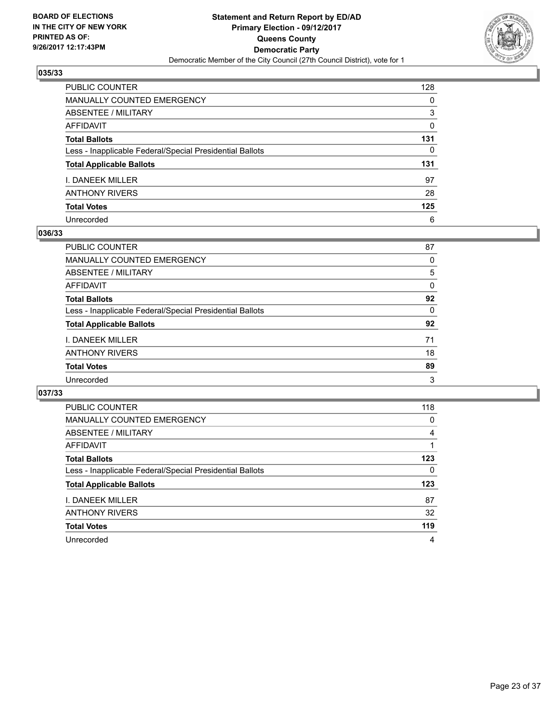

| PUBLIC COUNTER                                           | 128          |
|----------------------------------------------------------|--------------|
| <b>MANUALLY COUNTED EMERGENCY</b>                        | 0            |
| <b>ABSENTEE / MILITARY</b>                               | 3            |
| AFFIDAVIT                                                | $\Omega$     |
| <b>Total Ballots</b>                                     | 131          |
| Less - Inapplicable Federal/Special Presidential Ballots | $\mathbf{0}$ |
| <b>Total Applicable Ballots</b>                          | 131          |
| I. DANEEK MILLER                                         | 97           |
| <b>ANTHONY RIVERS</b>                                    | 28           |
| <b>Total Votes</b>                                       | 125          |
| Unrecorded                                               | 6            |

## **036/33**

| <b>PUBLIC COUNTER</b>                                    | 87 |
|----------------------------------------------------------|----|
| MANUALLY COUNTED EMERGENCY                               | 0  |
| ABSENTEE / MILITARY                                      | 5  |
| AFFIDAVIT                                                | 0  |
| <b>Total Ballots</b>                                     | 92 |
| Less - Inapplicable Federal/Special Presidential Ballots | 0  |
| <b>Total Applicable Ballots</b>                          | 92 |
| <b>I. DANEEK MILLER</b>                                  | 71 |
| <b>ANTHONY RIVERS</b>                                    | 18 |
| <b>Total Votes</b>                                       | 89 |
| Unrecorded                                               | 3  |

| <b>PUBLIC COUNTER</b>                                    | 118 |
|----------------------------------------------------------|-----|
| <b>MANUALLY COUNTED EMERGENCY</b>                        | 0   |
| ABSENTEE / MILITARY                                      | 4   |
| AFFIDAVIT                                                |     |
| <b>Total Ballots</b>                                     | 123 |
| Less - Inapplicable Federal/Special Presidential Ballots | 0   |
| <b>Total Applicable Ballots</b>                          | 123 |
| <b>I. DANEEK MILLER</b>                                  | 87  |
| <b>ANTHONY RIVERS</b>                                    | 32  |
| <b>Total Votes</b>                                       | 119 |
| Unrecorded                                               | 4   |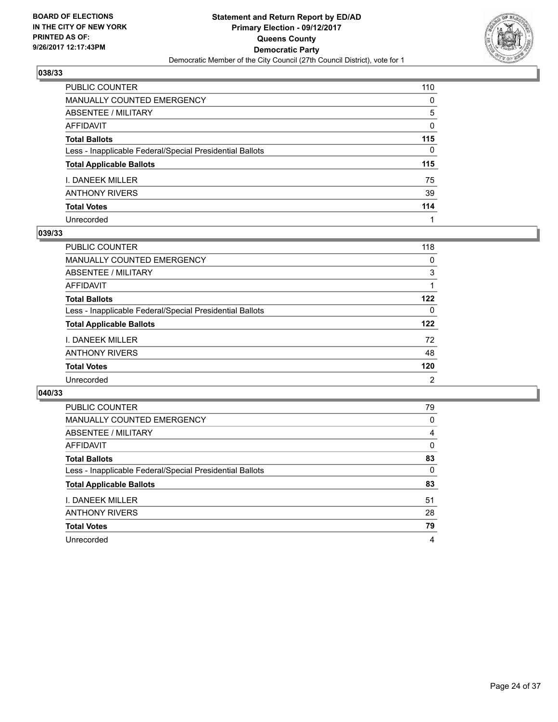

| PUBLIC COUNTER                                           | 110          |
|----------------------------------------------------------|--------------|
| <b>MANUALLY COUNTED EMERGENCY</b>                        | $\mathbf{0}$ |
| ABSENTEE / MILITARY                                      | 5            |
| <b>AFFIDAVIT</b>                                         | $\Omega$     |
| <b>Total Ballots</b>                                     | 115          |
| Less - Inapplicable Federal/Special Presidential Ballots | $\mathbf{0}$ |
| <b>Total Applicable Ballots</b>                          | 115          |
| I. DANEEK MILLER                                         | 75           |
| ANTHONY RIVERS                                           | 39           |
| <b>Total Votes</b>                                       | 114          |
| Unrecorded                                               |              |

#### **039/33**

| PUBLIC COUNTER                                           | 118 |
|----------------------------------------------------------|-----|
| <b>MANUALLY COUNTED EMERGENCY</b>                        | 0   |
| ABSENTEE / MILITARY                                      | 3   |
| AFFIDAVIT                                                |     |
| <b>Total Ballots</b>                                     | 122 |
| Less - Inapplicable Federal/Special Presidential Ballots | 0   |
| <b>Total Applicable Ballots</b>                          | 122 |
| <b>I. DANEEK MILLER</b>                                  | 72  |
| <b>ANTHONY RIVERS</b>                                    | 48  |
| <b>Total Votes</b>                                       | 120 |
| Unrecorded                                               | 2   |

| <b>PUBLIC COUNTER</b>                                    | 79 |
|----------------------------------------------------------|----|
| MANUALLY COUNTED EMERGENCY                               | 0  |
| ABSENTEE / MILITARY                                      | 4  |
| AFFIDAVIT                                                | 0  |
| <b>Total Ballots</b>                                     | 83 |
| Less - Inapplicable Federal/Special Presidential Ballots | 0  |
| <b>Total Applicable Ballots</b>                          | 83 |
| <b>I. DANEEK MILLER</b>                                  | 51 |
| <b>ANTHONY RIVERS</b>                                    | 28 |
| <b>Total Votes</b>                                       | 79 |
| Unrecorded                                               | 4  |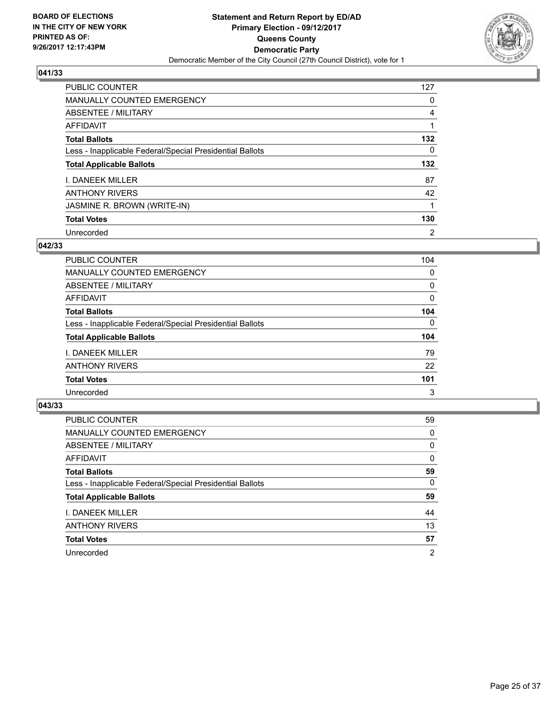

| <b>PUBLIC COUNTER</b>                                    | 127            |
|----------------------------------------------------------|----------------|
| <b>MANUALLY COUNTED EMERGENCY</b>                        | 0              |
| ABSENTEE / MILITARY                                      | 4              |
| AFFIDAVIT                                                |                |
| <b>Total Ballots</b>                                     | 132            |
| Less - Inapplicable Federal/Special Presidential Ballots | 0              |
| <b>Total Applicable Ballots</b>                          | 132            |
| <b>I. DANEEK MILLER</b>                                  | 87             |
| <b>ANTHONY RIVERS</b>                                    | 42             |
| JASMINE R. BROWN (WRITE-IN)                              |                |
| <b>Total Votes</b>                                       | 130            |
| Unrecorded                                               | $\overline{2}$ |

## **042/33**

| <b>PUBLIC COUNTER</b>                                    | 104          |
|----------------------------------------------------------|--------------|
| <b>MANUALLY COUNTED EMERGENCY</b>                        | 0            |
| ABSENTEE / MILITARY                                      | 0            |
| AFFIDAVIT                                                | 0            |
| <b>Total Ballots</b>                                     | 104          |
| Less - Inapplicable Federal/Special Presidential Ballots | $\mathbf{0}$ |
| <b>Total Applicable Ballots</b>                          | 104          |
| <b>I. DANEEK MILLER</b>                                  | 79           |
| <b>ANTHONY RIVERS</b>                                    | 22           |
| <b>Total Votes</b>                                       | 101          |
| Unrecorded                                               | 3            |

| PUBLIC COUNTER                                           | 59             |
|----------------------------------------------------------|----------------|
| MANUALLY COUNTED EMERGENCY                               | 0              |
| ABSENTEE / MILITARY                                      | 0              |
| AFFIDAVIT                                                | 0              |
| <b>Total Ballots</b>                                     | 59             |
| Less - Inapplicable Federal/Special Presidential Ballots | 0              |
| <b>Total Applicable Ballots</b>                          | 59             |
| <b>I. DANEEK MILLER</b>                                  | 44             |
| <b>ANTHONY RIVERS</b>                                    | 13             |
| <b>Total Votes</b>                                       | 57             |
| Unrecorded                                               | $\overline{2}$ |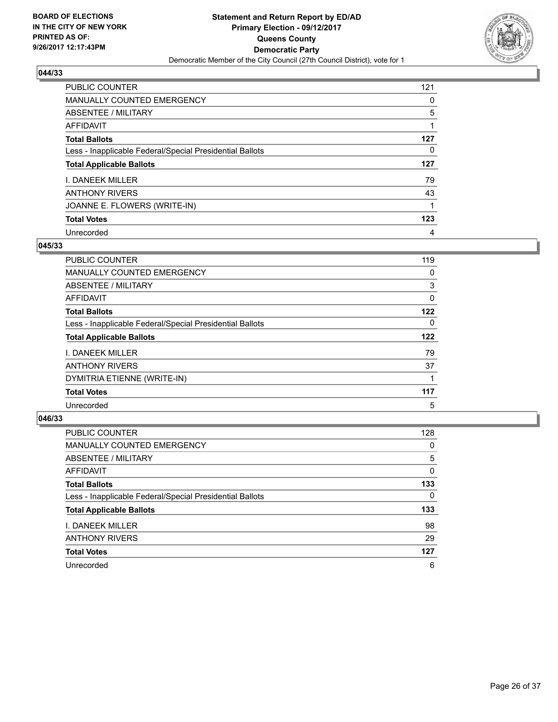

| <b>PUBLIC COUNTER</b>                                    | 121 |
|----------------------------------------------------------|-----|
| <b>MANUALLY COUNTED EMERGENCY</b>                        | 0   |
| ABSENTEE / MILITARY                                      | 5   |
| AFFIDAVIT                                                |     |
| <b>Total Ballots</b>                                     | 127 |
| Less - Inapplicable Federal/Special Presidential Ballots | 0   |
| <b>Total Applicable Ballots</b>                          | 127 |
| <b>I. DANEEK MILLER</b>                                  | 79  |
|                                                          |     |
| <b>ANTHONY RIVERS</b>                                    | 43  |
| JOANNE E. FLOWERS (WRITE-IN)                             |     |
| <b>Total Votes</b>                                       | 123 |

## **045/33**

| <b>PUBLIC COUNTER</b>                                    | 119 |
|----------------------------------------------------------|-----|
| <b>MANUALLY COUNTED EMERGENCY</b>                        | 0   |
| ABSENTEE / MILITARY                                      | 3   |
| AFFIDAVIT                                                | 0   |
| <b>Total Ballots</b>                                     | 122 |
| Less - Inapplicable Federal/Special Presidential Ballots | 0   |
| <b>Total Applicable Ballots</b>                          | 122 |
| <b>I. DANEEK MILLER</b>                                  | 79  |
| <b>ANTHONY RIVERS</b>                                    | 37  |
| DYMITRIA ETIENNE (WRITE-IN)                              |     |
| <b>Total Votes</b>                                       | 117 |
| Unrecorded                                               | 5   |

| <b>PUBLIC COUNTER</b>                                    | 128 |
|----------------------------------------------------------|-----|
| MANUALLY COUNTED EMERGENCY                               | 0   |
| ABSENTEE / MILITARY                                      | 5   |
| AFFIDAVIT                                                | 0   |
| <b>Total Ballots</b>                                     | 133 |
| Less - Inapplicable Federal/Special Presidential Ballots | 0   |
| <b>Total Applicable Ballots</b>                          | 133 |
| <b>I. DANEEK MILLER</b>                                  | 98  |
| <b>ANTHONY RIVERS</b>                                    | 29  |
| <b>Total Votes</b>                                       | 127 |
| Unrecorded                                               | 6   |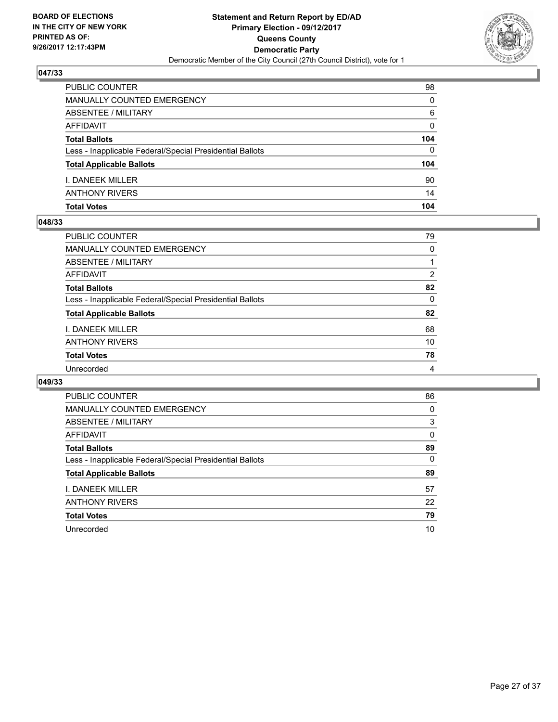

| <b>PUBLIC COUNTER</b>                                    | 98  |
|----------------------------------------------------------|-----|
| MANUALLY COUNTED EMERGENCY                               | 0   |
| <b>ABSENTEE / MILITARY</b>                               | 6   |
| AFFIDAVIT                                                | 0   |
| <b>Total Ballots</b>                                     | 104 |
| Less - Inapplicable Federal/Special Presidential Ballots | 0   |
| <b>Total Applicable Ballots</b>                          | 104 |
| <b>I. DANEEK MILLER</b>                                  | 90  |
| <b>ANTHONY RIVERS</b>                                    | 14  |
| <b>Total Votes</b>                                       | 104 |

## **048/33**

| PUBLIC COUNTER                                           | 79             |
|----------------------------------------------------------|----------------|
| <b>MANUALLY COUNTED EMERGENCY</b>                        | 0              |
| ABSENTEE / MILITARY                                      |                |
| AFFIDAVIT                                                | $\overline{2}$ |
| <b>Total Ballots</b>                                     | 82             |
| Less - Inapplicable Federal/Special Presidential Ballots | $\Omega$       |
| <b>Total Applicable Ballots</b>                          | 82             |
| <b>I. DANEEK MILLER</b>                                  | 68             |
| <b>ANTHONY RIVERS</b>                                    | 10             |
| <b>Total Votes</b>                                       | 78             |
| Unrecorded                                               | 4              |
|                                                          |                |

| <b>PUBLIC COUNTER</b>                                    | 86 |
|----------------------------------------------------------|----|
| <b>MANUALLY COUNTED EMERGENCY</b>                        | 0  |
| ABSENTEE / MILITARY                                      | 3  |
| AFFIDAVIT                                                | 0  |
| <b>Total Ballots</b>                                     | 89 |
| Less - Inapplicable Federal/Special Presidential Ballots | 0  |
| <b>Total Applicable Ballots</b>                          | 89 |
| I. DANEEK MILLER                                         | 57 |
| <b>ANTHONY RIVERS</b>                                    | 22 |
| <b>Total Votes</b>                                       | 79 |
| Unrecorded                                               | 10 |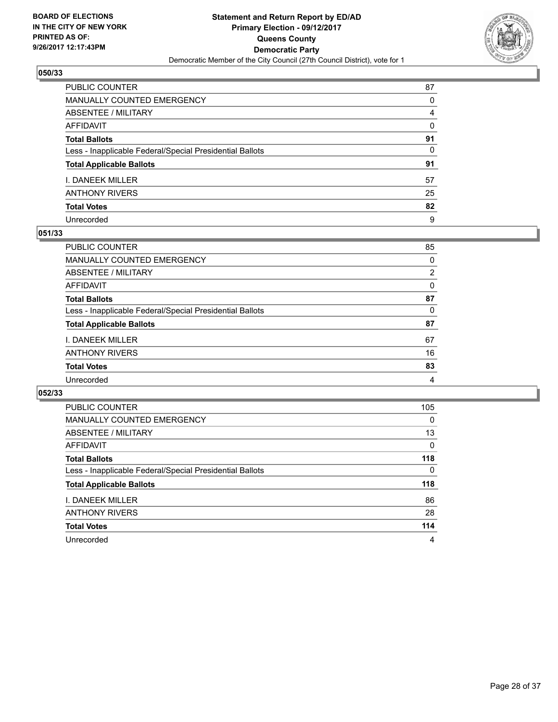

| PUBLIC COUNTER                                           | 87       |
|----------------------------------------------------------|----------|
| MANUALLY COUNTED EMERGENCY                               | $\Omega$ |
| <b>ABSENTEE / MILITARY</b>                               | 4        |
| <b>AFFIDAVIT</b>                                         | $\Omega$ |
| <b>Total Ballots</b>                                     | 91       |
| Less - Inapplicable Federal/Special Presidential Ballots | 0        |
| <b>Total Applicable Ballots</b>                          | 91       |
| I. DANEEK MILLER                                         | 57       |
| <b>ANTHONY RIVERS</b>                                    | 25       |
| <b>Total Votes</b>                                       | 82       |
| Unrecorded                                               | 9        |

## **051/33**

| <b>PUBLIC COUNTER</b>                                    | 85 |
|----------------------------------------------------------|----|
| MANUALLY COUNTED EMERGENCY                               | 0  |
| ABSENTEE / MILITARY                                      | 2  |
| AFFIDAVIT                                                | 0  |
| <b>Total Ballots</b>                                     | 87 |
| Less - Inapplicable Federal/Special Presidential Ballots | 0  |
| <b>Total Applicable Ballots</b>                          | 87 |
| <b>I. DANEEK MILLER</b>                                  | 67 |
| <b>ANTHONY RIVERS</b>                                    | 16 |
| <b>Total Votes</b>                                       | 83 |
| Unrecorded                                               | 4  |

| <b>PUBLIC COUNTER</b>                                    | 105 |
|----------------------------------------------------------|-----|
| <b>MANUALLY COUNTED EMERGENCY</b>                        | 0   |
| ABSENTEE / MILITARY                                      | 13  |
| AFFIDAVIT                                                | 0   |
| <b>Total Ballots</b>                                     | 118 |
| Less - Inapplicable Federal/Special Presidential Ballots | 0   |
| <b>Total Applicable Ballots</b>                          | 118 |
| I. DANEEK MILLER                                         | 86  |
| <b>ANTHONY RIVERS</b>                                    | 28  |
| <b>Total Votes</b>                                       | 114 |
| Unrecorded                                               | 4   |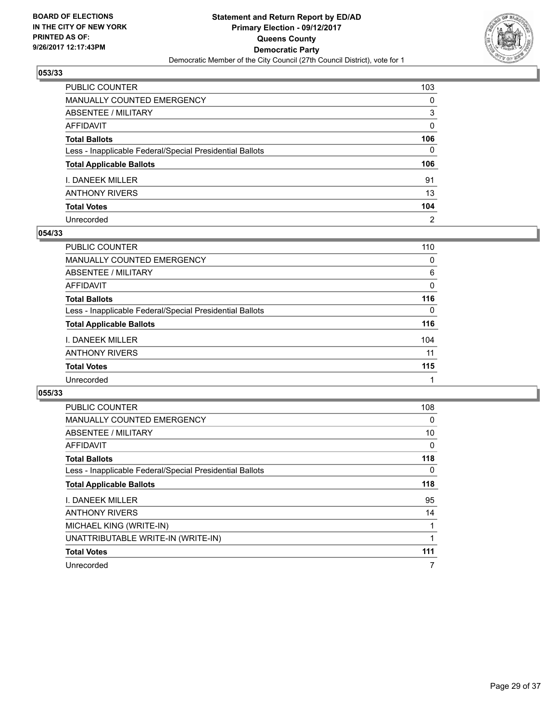

| PUBLIC COUNTER                                           | 103            |
|----------------------------------------------------------|----------------|
| <b>MANUALLY COUNTED EMERGENCY</b>                        | $\Omega$       |
| <b>ABSENTEE / MILITARY</b>                               | 3              |
| <b>AFFIDAVIT</b>                                         | $\Omega$       |
| <b>Total Ballots</b>                                     | 106            |
| Less - Inapplicable Federal/Special Presidential Ballots | $\mathbf{0}$   |
| <b>Total Applicable Ballots</b>                          | 106            |
| I. DANEEK MILLER                                         | 91             |
| <b>ANTHONY RIVERS</b>                                    | 13             |
| <b>Total Votes</b>                                       | 104            |
| Unrecorded                                               | $\overline{2}$ |

#### **054/33**

| <b>PUBLIC COUNTER</b>                                    | 110 |
|----------------------------------------------------------|-----|
| MANUALLY COUNTED EMERGENCY                               | 0   |
| ABSENTEE / MILITARY                                      | 6   |
| AFFIDAVIT                                                | 0   |
| <b>Total Ballots</b>                                     | 116 |
| Less - Inapplicable Federal/Special Presidential Ballots | 0   |
| <b>Total Applicable Ballots</b>                          | 116 |
| <b>I. DANEEK MILLER</b>                                  | 104 |
| <b>ANTHONY RIVERS</b>                                    | 11  |
| <b>Total Votes</b>                                       | 115 |
| Unrecorded                                               |     |

| PUBLIC COUNTER                                           | 108 |
|----------------------------------------------------------|-----|
| <b>MANUALLY COUNTED EMERGENCY</b>                        | 0   |
| ABSENTEE / MILITARY                                      | 10  |
| AFFIDAVIT                                                | 0   |
| <b>Total Ballots</b>                                     | 118 |
| Less - Inapplicable Federal/Special Presidential Ballots | 0   |
| <b>Total Applicable Ballots</b>                          | 118 |
| I. DANEEK MILLER                                         | 95  |
| <b>ANTHONY RIVERS</b>                                    | 14  |
| MICHAEL KING (WRITE-IN)                                  | 1   |
| UNATTRIBUTABLE WRITE-IN (WRITE-IN)                       | 1   |
| <b>Total Votes</b>                                       | 111 |
| Unrecorded                                               | 7   |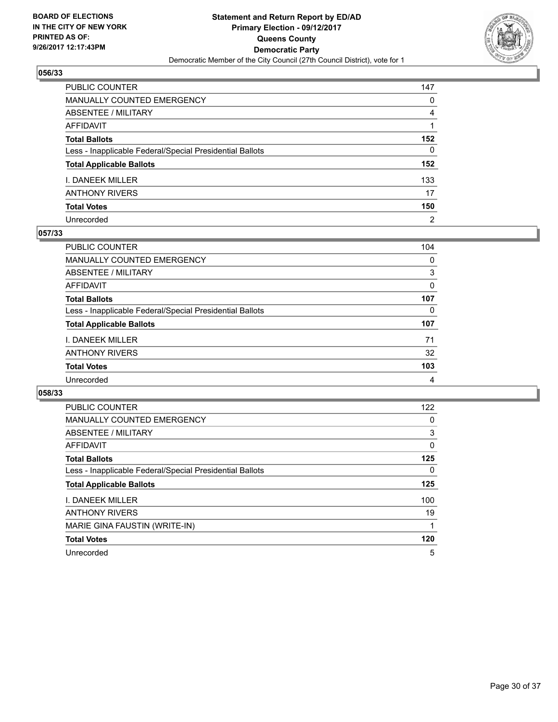

| PUBLIC COUNTER                                           | 147            |
|----------------------------------------------------------|----------------|
| <b>MANUALLY COUNTED EMERGENCY</b>                        | 0              |
| ABSENTEE / MILITARY                                      | 4              |
| AFFIDAVIT                                                |                |
| <b>Total Ballots</b>                                     | 152            |
| Less - Inapplicable Federal/Special Presidential Ballots | 0              |
| <b>Total Applicable Ballots</b>                          | 152            |
| <b>I. DANEEK MILLER</b>                                  | 133            |
| ANTHONY RIVERS                                           | 17             |
| <b>Total Votes</b>                                       | 150            |
| Unrecorded                                               | $\overline{2}$ |

## **057/33**

| <b>PUBLIC COUNTER</b>                                    | 104 |
|----------------------------------------------------------|-----|
| MANUALLY COUNTED EMERGENCY                               | 0   |
| ABSENTEE / MILITARY                                      | 3   |
| AFFIDAVIT                                                | 0   |
| <b>Total Ballots</b>                                     | 107 |
| Less - Inapplicable Federal/Special Presidential Ballots | 0   |
| <b>Total Applicable Ballots</b>                          | 107 |
| <b>I. DANEEK MILLER</b>                                  | 71  |
| <b>ANTHONY RIVERS</b>                                    | 32  |
| <b>Total Votes</b>                                       | 103 |
| Unrecorded                                               | 4   |

| PUBLIC COUNTER                                           | 122 |
|----------------------------------------------------------|-----|
| <b>MANUALLY COUNTED EMERGENCY</b>                        | 0   |
| <b>ABSENTEE / MILITARY</b>                               | 3   |
| <b>AFFIDAVIT</b>                                         | 0   |
| <b>Total Ballots</b>                                     | 125 |
| Less - Inapplicable Federal/Special Presidential Ballots | 0   |
| <b>Total Applicable Ballots</b>                          | 125 |
| I. DANEEK MILLER                                         | 100 |
| <b>ANTHONY RIVERS</b>                                    | 19  |
| MARIE GINA FAUSTIN (WRITE-IN)                            |     |
| <b>Total Votes</b>                                       | 120 |
| Unrecorded                                               | 5   |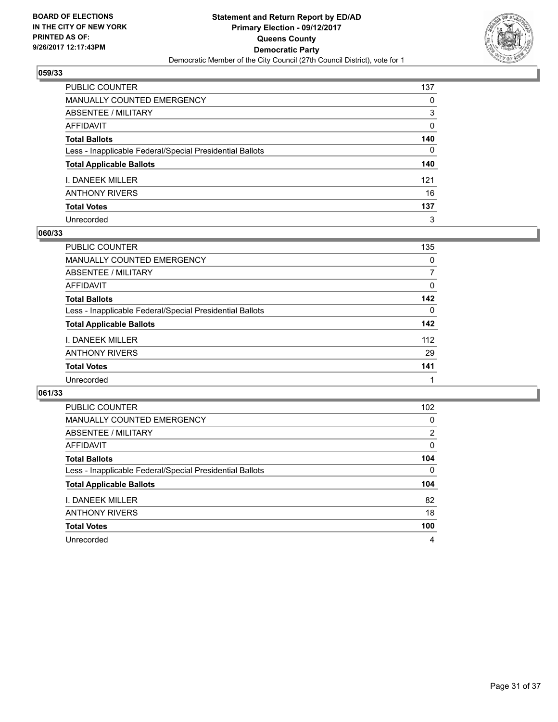

| PUBLIC COUNTER                                           | 137          |
|----------------------------------------------------------|--------------|
| <b>MANUALLY COUNTED EMERGENCY</b>                        | 0            |
| ABSENTEE / MILITARY                                      | 3            |
| <b>AFFIDAVIT</b>                                         | $\Omega$     |
| <b>Total Ballots</b>                                     | 140          |
| Less - Inapplicable Federal/Special Presidential Ballots | $\mathbf{0}$ |
| <b>Total Applicable Ballots</b>                          | 140          |
| I. DANEEK MILLER                                         | 121          |
| <b>ANTHONY RIVERS</b>                                    | 16           |
| <b>Total Votes</b>                                       | 137          |
| Unrecorded                                               | 3            |

#### **060/33**

| <b>PUBLIC COUNTER</b>                                    | 135 |
|----------------------------------------------------------|-----|
| MANUALLY COUNTED EMERGENCY                               | 0   |
| ABSENTEE / MILITARY                                      | 7   |
| AFFIDAVIT                                                | 0   |
| <b>Total Ballots</b>                                     | 142 |
| Less - Inapplicable Federal/Special Presidential Ballots | 0   |
| <b>Total Applicable Ballots</b>                          | 142 |
| <b>I. DANEEK MILLER</b>                                  | 112 |
| <b>ANTHONY RIVERS</b>                                    | 29  |
| <b>Total Votes</b>                                       | 141 |
| Unrecorded                                               |     |

| <b>PUBLIC COUNTER</b>                                    | 102 |
|----------------------------------------------------------|-----|
| <b>MANUALLY COUNTED EMERGENCY</b>                        | 0   |
| ABSENTEE / MILITARY                                      | 2   |
| AFFIDAVIT                                                | 0   |
| <b>Total Ballots</b>                                     | 104 |
| Less - Inapplicable Federal/Special Presidential Ballots | 0   |
| <b>Total Applicable Ballots</b>                          | 104 |
| I. DANEEK MILLER                                         | 82  |
| <b>ANTHONY RIVERS</b>                                    | 18  |
| <b>Total Votes</b>                                       | 100 |
| Unrecorded                                               | 4   |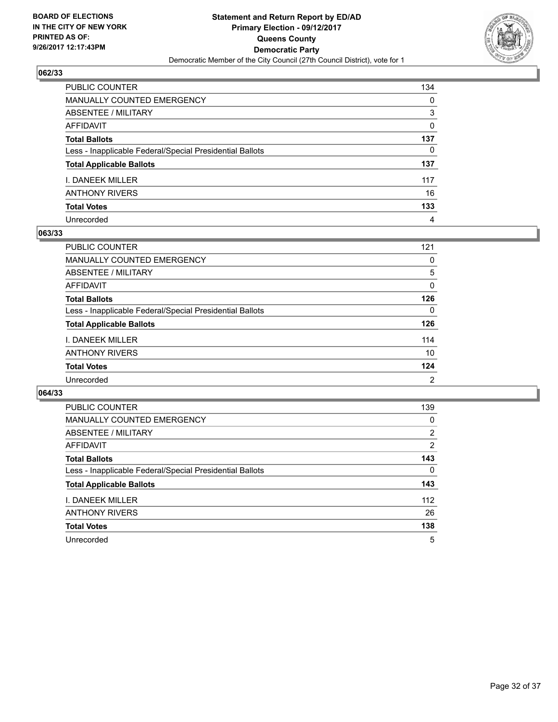

| PUBLIC COUNTER                                           | 134          |
|----------------------------------------------------------|--------------|
| <b>MANUALLY COUNTED EMERGENCY</b>                        | 0            |
| ABSENTEE / MILITARY                                      | 3            |
| AFFIDAVIT                                                | 0            |
| <b>Total Ballots</b>                                     | 137          |
| Less - Inapplicable Federal/Special Presidential Ballots | $\mathbf{0}$ |
| <b>Total Applicable Ballots</b>                          | 137          |
| I. DANEEK MILLER                                         | 117          |
| <b>ANTHONY RIVERS</b>                                    | 16           |
| <b>Total Votes</b>                                       | 133          |
| Unrecorded                                               | 4            |

#### **063/33**

| <b>PUBLIC COUNTER</b>                                    | 121 |
|----------------------------------------------------------|-----|
| MANUALLY COUNTED EMERGENCY                               | 0   |
| ABSENTEE / MILITARY                                      | 5   |
| AFFIDAVIT                                                | 0   |
| <b>Total Ballots</b>                                     | 126 |
| Less - Inapplicable Federal/Special Presidential Ballots | 0   |
| <b>Total Applicable Ballots</b>                          | 126 |
| <b>I. DANEEK MILLER</b>                                  | 114 |
| <b>ANTHONY RIVERS</b>                                    | 10  |
| <b>Total Votes</b>                                       | 124 |
| Unrecorded                                               | 2   |

| <b>PUBLIC COUNTER</b>                                    | 139 |
|----------------------------------------------------------|-----|
| <b>MANUALLY COUNTED EMERGENCY</b>                        | 0   |
| ABSENTEE / MILITARY                                      | 2   |
| AFFIDAVIT                                                | 2   |
| <b>Total Ballots</b>                                     | 143 |
| Less - Inapplicable Federal/Special Presidential Ballots | 0   |
| <b>Total Applicable Ballots</b>                          | 143 |
| I. DANEEK MILLER                                         | 112 |
| <b>ANTHONY RIVERS</b>                                    | 26  |
| <b>Total Votes</b>                                       | 138 |
| Unrecorded                                               | 5   |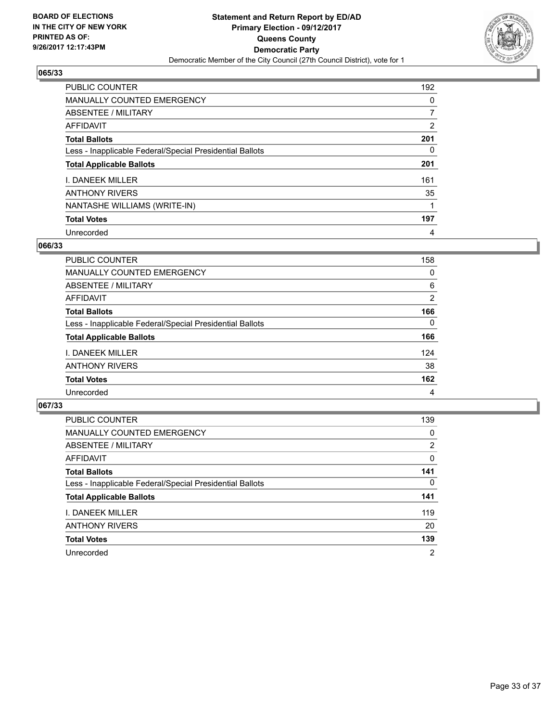

| <b>PUBLIC COUNTER</b>                                    | 192 |
|----------------------------------------------------------|-----|
| <b>MANUALLY COUNTED EMERGENCY</b>                        | 0   |
| ABSENTEE / MILITARY                                      | 7   |
| AFFIDAVIT                                                | 2   |
| <b>Total Ballots</b>                                     | 201 |
| Less - Inapplicable Federal/Special Presidential Ballots | 0   |
| <b>Total Applicable Ballots</b>                          | 201 |
| <b>I. DANEEK MILLER</b>                                  | 161 |
| <b>ANTHONY RIVERS</b>                                    | 35  |
| NANTASHE WILLIAMS (WRITE-IN)                             |     |
| <b>Total Votes</b>                                       | 197 |
| Unrecorded                                               | 4   |

## **066/33**

| <b>PUBLIC COUNTER</b>                                    | 158 |
|----------------------------------------------------------|-----|
| MANUALLY COUNTED EMERGENCY                               | 0   |
| ABSENTEE / MILITARY                                      | 6   |
| AFFIDAVIT                                                | 2   |
| <b>Total Ballots</b>                                     | 166 |
| Less - Inapplicable Federal/Special Presidential Ballots | 0   |
| <b>Total Applicable Ballots</b>                          | 166 |
| I. DANEEK MILLER                                         | 124 |
| <b>ANTHONY RIVERS</b>                                    | 38  |
| <b>Total Votes</b>                                       | 162 |
| Unrecorded                                               | 4   |

| <b>PUBLIC COUNTER</b>                                    | 139            |
|----------------------------------------------------------|----------------|
| <b>MANUALLY COUNTED EMERGENCY</b>                        | 0              |
| ABSENTEE / MILITARY                                      | $\overline{2}$ |
| AFFIDAVIT                                                | 0              |
| <b>Total Ballots</b>                                     | 141            |
| Less - Inapplicable Federal/Special Presidential Ballots | 0              |
| <b>Total Applicable Ballots</b>                          | 141            |
| I. DANEEK MILLER                                         | 119            |
| <b>ANTHONY RIVERS</b>                                    | 20             |
| <b>Total Votes</b>                                       | 139            |
| Unrecorded                                               | $\overline{2}$ |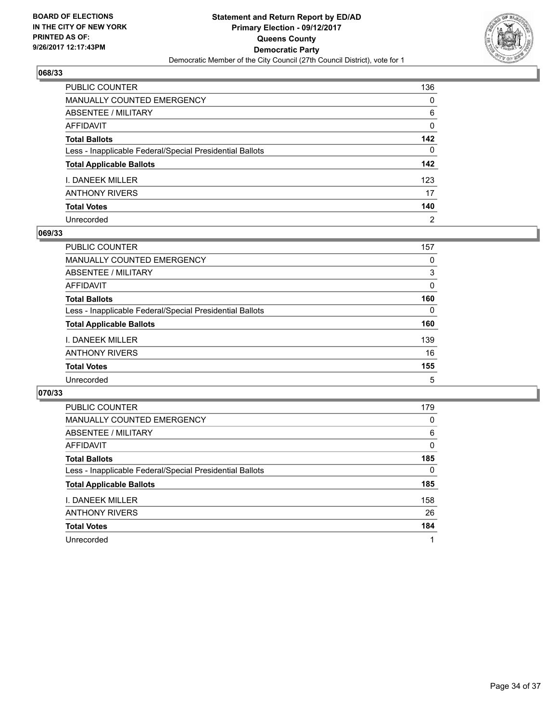

| PUBLIC COUNTER                                           | 136            |
|----------------------------------------------------------|----------------|
| <b>MANUALLY COUNTED EMERGENCY</b>                        | 0              |
| <b>ABSENTEE / MILITARY</b>                               | 6              |
| <b>AFFIDAVIT</b>                                         | 0              |
| <b>Total Ballots</b>                                     | 142            |
| Less - Inapplicable Federal/Special Presidential Ballots | $\mathbf{0}$   |
| <b>Total Applicable Ballots</b>                          | 142            |
| I. DANEEK MILLER                                         | 123            |
| <b>ANTHONY RIVERS</b>                                    | 17             |
| <b>Total Votes</b>                                       | 140            |
| Unrecorded                                               | $\overline{2}$ |

## **069/33**

| <b>PUBLIC COUNTER</b>                                    | 157      |
|----------------------------------------------------------|----------|
| <b>MANUALLY COUNTED EMERGENCY</b>                        | 0        |
| ABSENTEE / MILITARY                                      | 3        |
| AFFIDAVIT                                                | $\Omega$ |
| <b>Total Ballots</b>                                     | 160      |
| Less - Inapplicable Federal/Special Presidential Ballots | $\Omega$ |
| <b>Total Applicable Ballots</b>                          | 160      |
| <b>I. DANEEK MILLER</b>                                  | 139      |
| <b>ANTHONY RIVERS</b>                                    | 16       |
| <b>Total Votes</b>                                       | 155      |
| Unrecorded                                               | 5        |

| <b>PUBLIC COUNTER</b>                                    | 179 |
|----------------------------------------------------------|-----|
| <b>MANUALLY COUNTED EMERGENCY</b>                        | 0   |
| ABSENTEE / MILITARY                                      | 6   |
| AFFIDAVIT                                                | 0   |
| <b>Total Ballots</b>                                     | 185 |
| Less - Inapplicable Federal/Special Presidential Ballots | 0   |
| <b>Total Applicable Ballots</b>                          | 185 |
| I. DANEEK MILLER                                         | 158 |
| <b>ANTHONY RIVERS</b>                                    | 26  |
| <b>Total Votes</b>                                       | 184 |
| Unrecorded                                               | 1   |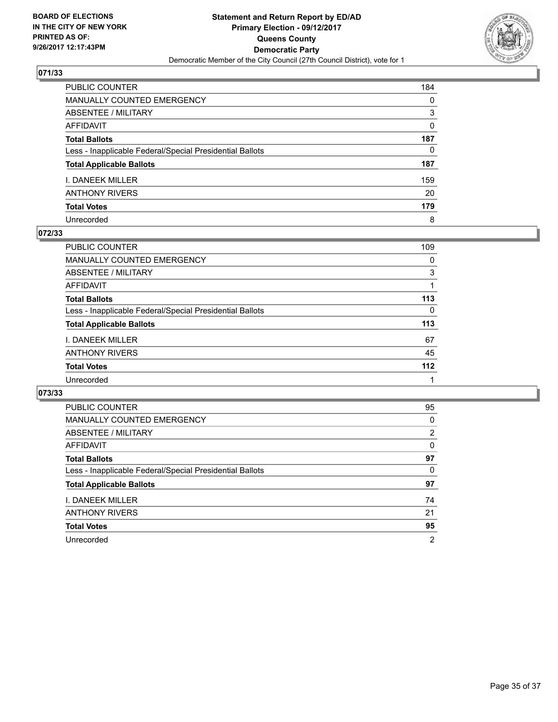

| PUBLIC COUNTER                                           | 184          |
|----------------------------------------------------------|--------------|
| <b>MANUALLY COUNTED EMERGENCY</b>                        | 0            |
| ABSENTEE / MILITARY                                      | 3            |
| <b>AFFIDAVIT</b>                                         | 0            |
| <b>Total Ballots</b>                                     | 187          |
| Less - Inapplicable Federal/Special Presidential Ballots | $\mathbf{0}$ |
| <b>Total Applicable Ballots</b>                          | 187          |
| I. DANEEK MILLER                                         | 159          |
| <b>ANTHONY RIVERS</b>                                    | 20           |
| <b>Total Votes</b>                                       | 179          |
| Unrecorded                                               | 8            |

## **072/33**

| PUBLIC COUNTER                                           | 109   |
|----------------------------------------------------------|-------|
| MANUALLY COUNTED EMERGENCY                               | 0     |
| ABSENTEE / MILITARY                                      | 3     |
| AFFIDAVIT                                                |       |
| <b>Total Ballots</b>                                     | 113   |
| Less - Inapplicable Federal/Special Presidential Ballots | 0     |
| <b>Total Applicable Ballots</b>                          | 113   |
| <b>I. DANEEK MILLER</b>                                  | 67    |
| <b>ANTHONY RIVERS</b>                                    | 45    |
| <b>Total Votes</b>                                       | $112$ |
| Unrecorded                                               |       |

| <b>PUBLIC COUNTER</b>                                    | 95 |
|----------------------------------------------------------|----|
| MANUALLY COUNTED EMERGENCY                               | 0  |
| ABSENTEE / MILITARY                                      | 2  |
| AFFIDAVIT                                                | 0  |
| <b>Total Ballots</b>                                     | 97 |
| Less - Inapplicable Federal/Special Presidential Ballots | 0  |
| <b>Total Applicable Ballots</b>                          | 97 |
| I. DANEEK MILLER                                         | 74 |
| <b>ANTHONY RIVERS</b>                                    | 21 |
| <b>Total Votes</b>                                       | 95 |
| Unrecorded                                               | 2  |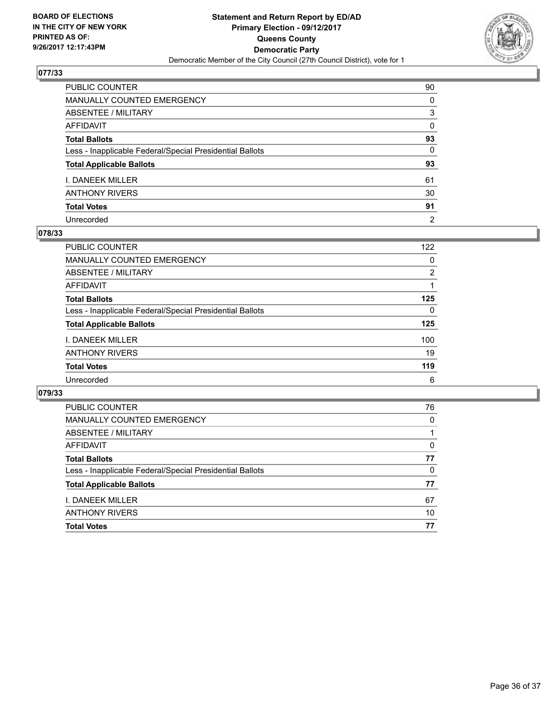

| PUBLIC COUNTER                                           | 90             |
|----------------------------------------------------------|----------------|
| MANUALLY COUNTED EMERGENCY                               | 0              |
| ABSENTEE / MILITARY                                      | 3              |
| AFFIDAVIT                                                | 0              |
| Total Ballots                                            | 93             |
| Less - Inapplicable Federal/Special Presidential Ballots | 0              |
| <b>Total Applicable Ballots</b>                          | 93             |
| I. DANEEK MILLER                                         | 61             |
| ANTHONY RIVERS                                           | 30             |
| <b>Total Votes</b>                                       | 91             |
| Unrecorded                                               | $\overline{2}$ |

#### **078/33**

| PUBLIC COUNTER                                           | 122 |
|----------------------------------------------------------|-----|
| <b>MANUALLY COUNTED EMERGENCY</b>                        | 0   |
| ABSENTEE / MILITARY                                      | 2   |
| AFFIDAVIT                                                |     |
| <b>Total Ballots</b>                                     | 125 |
| Less - Inapplicable Federal/Special Presidential Ballots | 0   |
| <b>Total Applicable Ballots</b>                          | 125 |
| <b>I. DANEEK MILLER</b>                                  | 100 |
| <b>ANTHONY RIVERS</b>                                    | 19  |
| <b>Total Votes</b>                                       | 119 |
| Unrecorded                                               | 6   |

| <b>PUBLIC COUNTER</b>                                    | 76 |
|----------------------------------------------------------|----|
| MANUALLY COUNTED EMERGENCY                               | 0  |
| ABSENTEE / MILITARY                                      |    |
| AFFIDAVIT                                                | 0  |
| <b>Total Ballots</b>                                     | 77 |
| Less - Inapplicable Federal/Special Presidential Ballots | 0  |
| <b>Total Applicable Ballots</b>                          | 77 |
| L DANFFK MILLFR                                          | 67 |
| <b>ANTHONY RIVERS</b>                                    | 10 |
| <b>Total Votes</b>                                       | 77 |